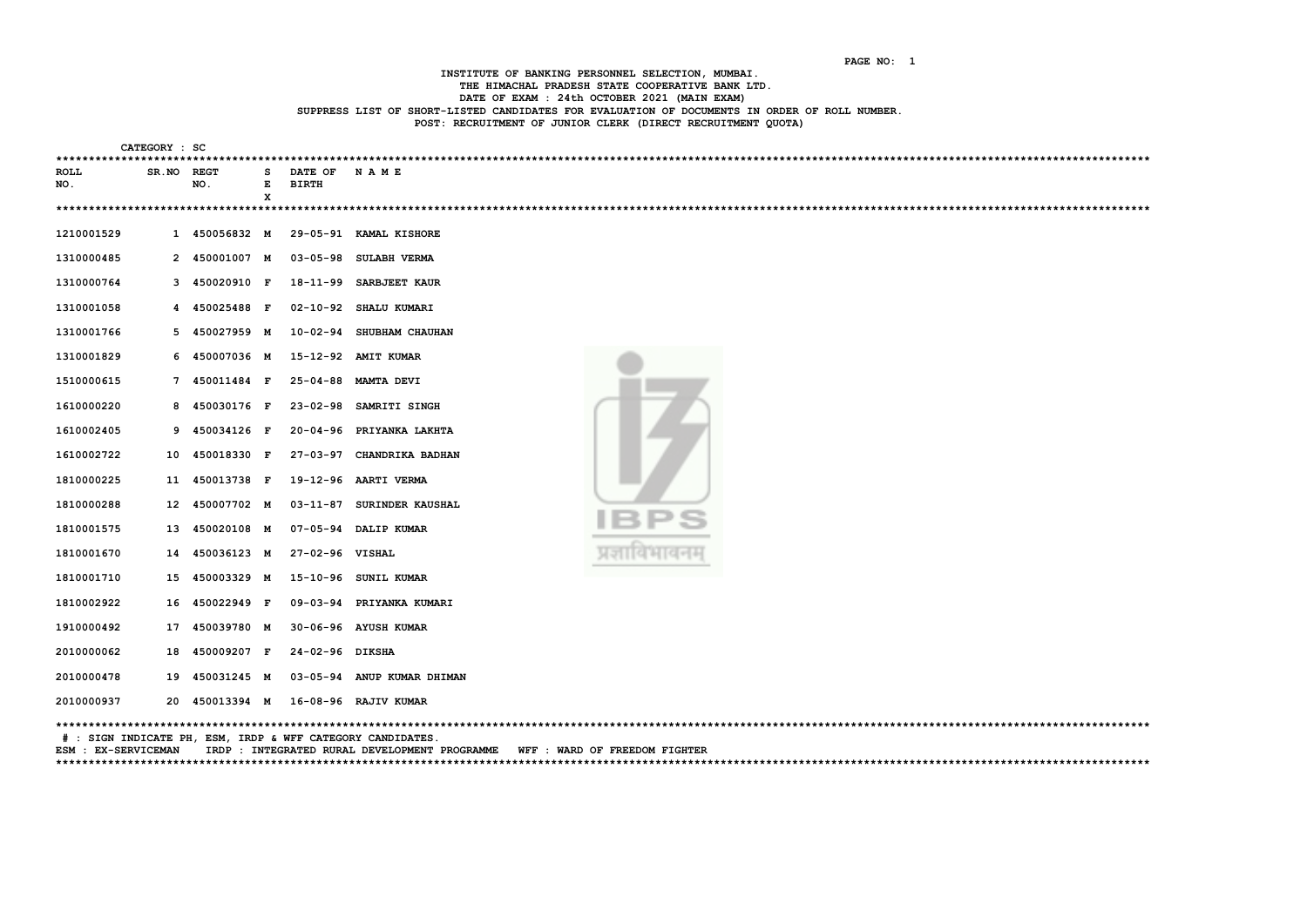INSTITUTE OF BANKING PERSONNEL SELECTION, MUMBAI. THE HIMACHAL PRADESH STATE COOPERATIVE BANK LTD. DATE OF EXAM : 24th OCTOBER 2021 (MAIN EXAM) SUPPRESS LIST OF SHORT-LISTED CANDIDATES FOR EVALUATION OF DOCUMENTS IN ORDER OF ROLL NUMBER. POST: RECRUITMENT OF JUNIOR CLERK (DIRECT RECRUITMENT QUOTA)

| ************* | CATEGORY : SC       |                                |             |                         |                                                                                                                                              |
|---------------|---------------------|--------------------------------|-------------|-------------------------|----------------------------------------------------------------------------------------------------------------------------------------------|
| ROLL<br>NO.   |                     | SR.NO REGT<br>NO.              | s<br>E<br>X | DATE OF<br><b>BIRTH</b> | NAME                                                                                                                                         |
|               |                     |                                |             |                         |                                                                                                                                              |
| 1210001529    |                     |                                |             |                         | 1 450056832 M 29-05-91 KAMAL KISHORE                                                                                                         |
| 1310000485    |                     | 2 450001007 M                  |             |                         | 03-05-98 SULABH VERMA                                                                                                                        |
| 1310000764    |                     | 3 450020910 F                  |             |                         | 18-11-99 SARBJEET KAUR                                                                                                                       |
| 1310001058    |                     | 4 450025488 F                  |             | 02-10-92                | <b>SHALU KUMARI</b>                                                                                                                          |
| 1310001766    |                     |                                |             |                         | 5 450027959 M 10-02-94 SHUBHAM CHAUHAN                                                                                                       |
| 1310001829    |                     | 6 450007036 M                  |             |                         | 15-12-92 AMIT KUMAR                                                                                                                          |
| 1510000615    |                     | 7 450011484 F                  |             |                         | 25-04-88 MAMTA DEVI                                                                                                                          |
| 1610000220    |                     | 8 450030176 F                  |             |                         | 23-02-98 SAMRITI SINGH                                                                                                                       |
| 1610002405    |                     | 9 450034126 F                  |             |                         | 20-04-96 PRIYANKA LAKHTA                                                                                                                     |
| 1610002722    |                     | 10 450018330 F                 |             |                         | 27-03-97 CHANDRIKA BADHAN                                                                                                                    |
| 1810000225    |                     | 11 450013738 F                 |             |                         | 19-12-96 AARTI VERMA                                                                                                                         |
| 1810000288    |                     | 12 450007702 M                 |             |                         | 03-11-87 SURINDER KAUSHAL                                                                                                                    |
| 1810001575    |                     | 13 450020108 M                 |             |                         | IBPS<br>07-05-94 DALIP KUMAR                                                                                                                 |
| 1810001670    |                     | 14 450036123 M 27-02-96 VISHAL |             |                         | प्रजादिमा बनम                                                                                                                                |
| 1810001710    |                     |                                |             |                         | 15 450003329 M 15-10-96 SUNIL KUMAR                                                                                                          |
| 1810002922    |                     | 16 450022949 F                 |             |                         | 09-03-94 PRIYANKA KUMARI                                                                                                                     |
| 1910000492    |                     | 17 450039780 M                 |             |                         | 30-06-96 AYUSH KUMAR                                                                                                                         |
| 2010000062    |                     | 18 450009207 F                 |             | 24-02-96 DIKSHA         |                                                                                                                                              |
| 2010000478    |                     | 19 450031245 M                 |             |                         | 03-05-94 ANUP KUMAR DHIMAN                                                                                                                   |
| 2010000937    |                     |                                |             |                         | 20 450013394 M 16-08-96 RAJIV KUMAR                                                                                                          |
|               | ESM : EX-SERVICEMAN |                                |             |                         | # : SIGN INDICATE PH, ESM, IRDP & WFF CATEGORY CANDIDATES.<br>IRDP : INTEGRATED RURAL DEVELOPMENT PROGRAMME<br>WFF : WARD OF FREEDOM FIGHTER |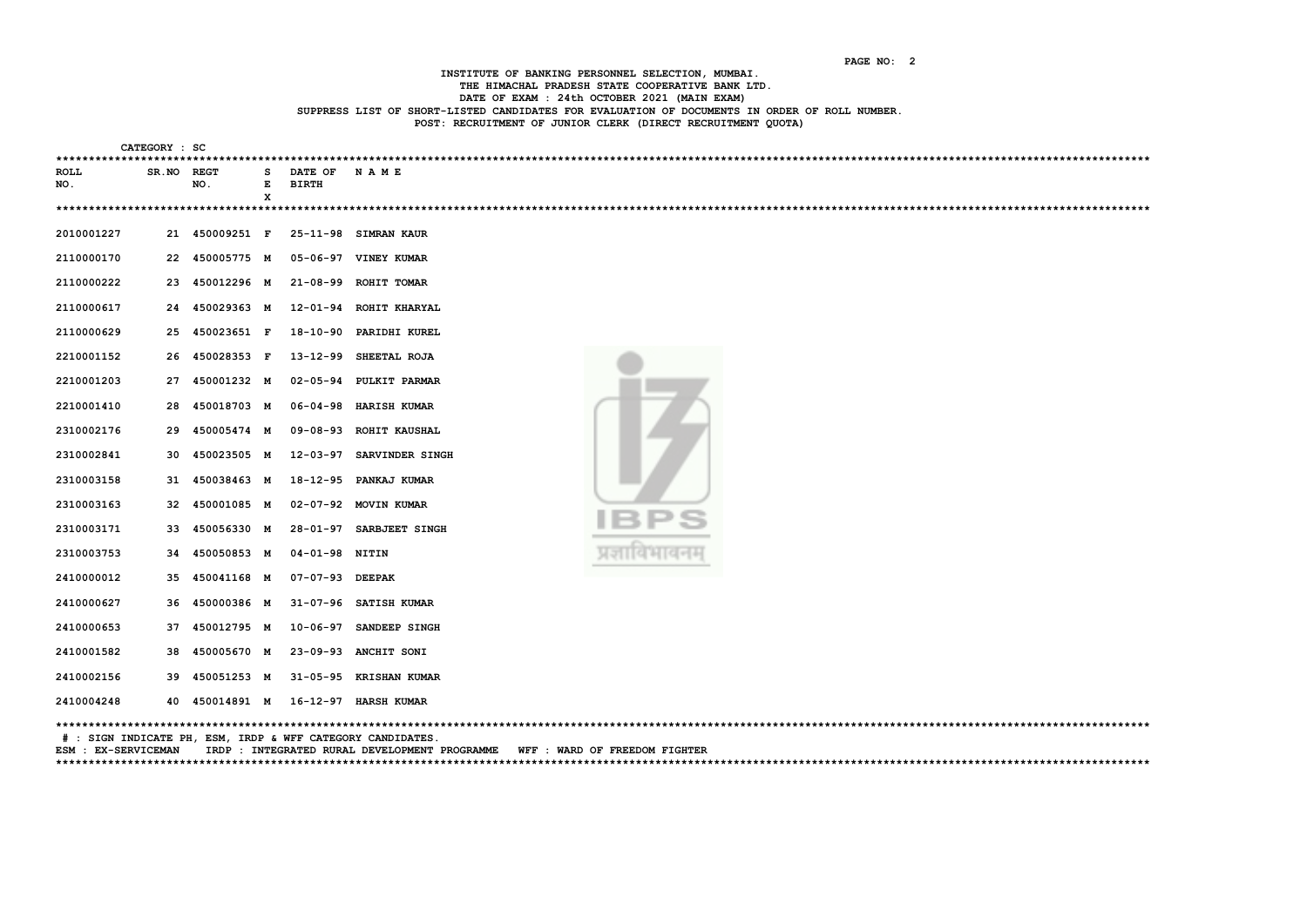INSTITUTE OF BANKING PERSONNEL SELECTION, MUMBAI. THE HIMACHAL PRADESH STATE COOPERATIVE BANK LTD. DATE OF EXAM : 24th OCTOBER 2021 (MAIN EXAM) SUPPRESS LIST OF SHORT-LISTED CANDIDATES FOR EVALUATION OF DOCUMENTS IN ORDER OF ROLL NUMBER. POST: RECRUITMENT OF JUNIOR CLERK (DIRECT RECRUITMENT QUOTA)

| ************* | CATEGORY : SC |                |        |                         |                                                            |
|---------------|---------------|----------------|--------|-------------------------|------------------------------------------------------------|
| ROLL<br>NO.   | SR.NO REGT    | NO.            | s<br>Е | DATE OF<br><b>BIRTH</b> | NAME                                                       |
|               |               |                | x      |                         |                                                            |
|               |               |                |        |                         |                                                            |
| 2010001227    |               | 21 450009251 F |        |                         | 25-11-98 SIMRAN KAUR                                       |
| 2110000170    |               | 22 450005775 M |        |                         | 05-06-97 VINEY KUMAR                                       |
| 2110000222    |               | 23 450012296 M |        |                         | 21-08-99 ROHIT TOMAR                                       |
| 2110000617    |               | 24 450029363 M |        | 12-01-94                | ROHIT KHARYAL                                              |
| 2110000629    |               | 25 450023651 F |        | 18-10-90                | PARIDHI KUREL                                              |
| 2210001152    |               | 26 450028353 F |        | 13-12-99                | SHEETAL ROJA                                               |
| 2210001203    |               | 27 450001232 M |        | 02-05-94                | <b>PULKIT PARMAR</b>                                       |
| 2210001410    |               | 28 450018703 M |        | $06 - 04 - 98$          | <b>HARISH KUMAR</b>                                        |
| 2310002176    |               | 29 450005474 M |        | 09-08-93                | <b>ROHIT KAUSHAL</b>                                       |
| 2310002841    |               | 30 450023505 M |        | 12-03-97                | SARVINDER SINGH                                            |
| 2310003158    |               | 31 450038463 M |        | 18-12-95                | <b>PANKAJ KUMAR</b>                                        |
| 2310003163    |               | 32 450001085 M |        |                         | 02-07-92 MOVIN KUMAR                                       |
| 2310003171    |               | 33 450056330 M |        | 28-01-97                | IBPS<br><b>SARBJEET SINGH</b>                              |
| 2310003753    |               | 34 450050853 M |        | 04-01-98 NITIN          | प्रजाविभावनम                                               |
| 2410000012    |               | 35 450041168 M |        | 07-07-93                | <b>DEEPAK</b>                                              |
| 2410000627    |               | 36 450000386 M |        |                         | 31-07-96 SATISH KUMAR                                      |
| 2410000653    |               | 37 450012795 M |        | 10-06-97                | <b>SANDEEP SINGH</b>                                       |
| 2410001582    |               | 38 450005670 M |        |                         | 23-09-93 ANCHIT SONI                                       |
| 2410002156    |               | 39 450051253 M |        |                         | 31-05-95 KRISHAN KUMAR                                     |
| 2410004248    |               |                |        |                         | 40 450014891 M 16-12-97 HARSH KUMAR                        |
|               |               |                |        |                         | # : SIGN INDICATE PH, ESM, IRDP & WFF CATEGORY CANDIDATES. |

ESM : EX-SERVICEMAN IRDP : INTEGRATED RURAL DEVELOPMENT PROGRAMME WFF : WARD OF FREEDOM FIGHTER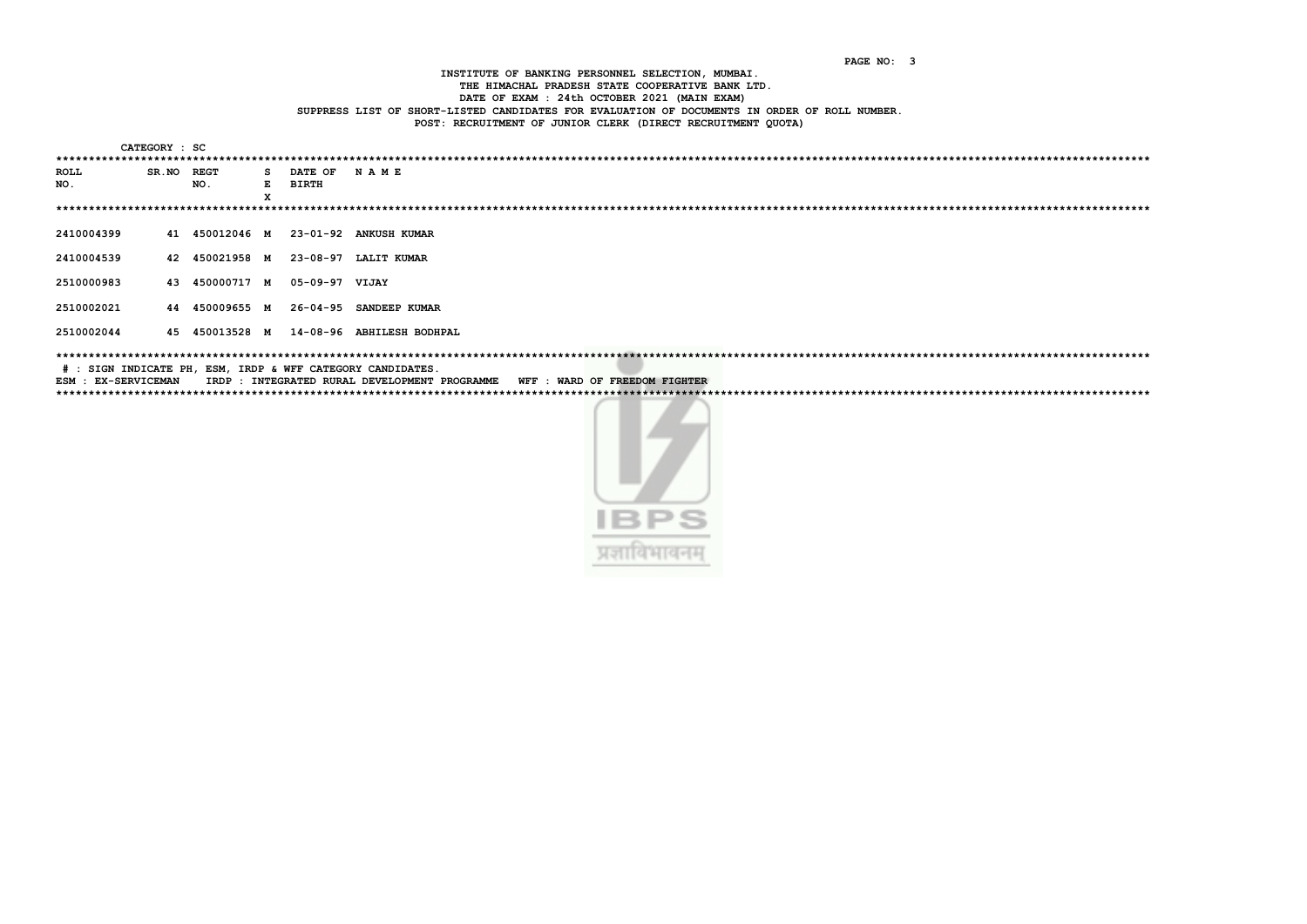INSTITUTE OF BANKING PERSONNEL SELECTION, MUMBAI. THE HIMACHAL PRADESH STATE COOPERATIVE BANK LTD. DATE OF EXAM : 24th OCTOBER 2021 (MAIN EXAM) SUPPRESS LIST OF SHORT-LISTED CANDIDATES FOR EVALUATION OF DOCUMENTS IN ORDER OF ROLL NUMBER. POST: RECRUITMENT OF JUNIOR CLERK (DIRECT RECRUITMENT OUOTA)

CATEGORY : SC **ROLL** SR.NO REGT S DATE OF NAME NO. NO. E BIRTH  $\mathbf{x}$ 2410004399 41 450012046 M 23-01-92 ANKUSH KUMAR 2410004539 42 450021958 M 23-08-97 LALIT KUMAR 2510000983 43 450000717 M 05-09-97 VIJAY 2510002021 44 450009655 M 26-04-95 SANDEEP KUMAR 2510002044 45 450013528 M 14-08-96 ABHILESH BODHPAL # : SIGN INDICATE PH, ESM, IRDP & WFF CATEGORY CANDIDATES. ESM : EX-SERVICEMAN IRDP : INTEGRATED RURAL DEVELOPMENT PROGRAMME WFF : WARD OF FREEDOM FIGHTER 

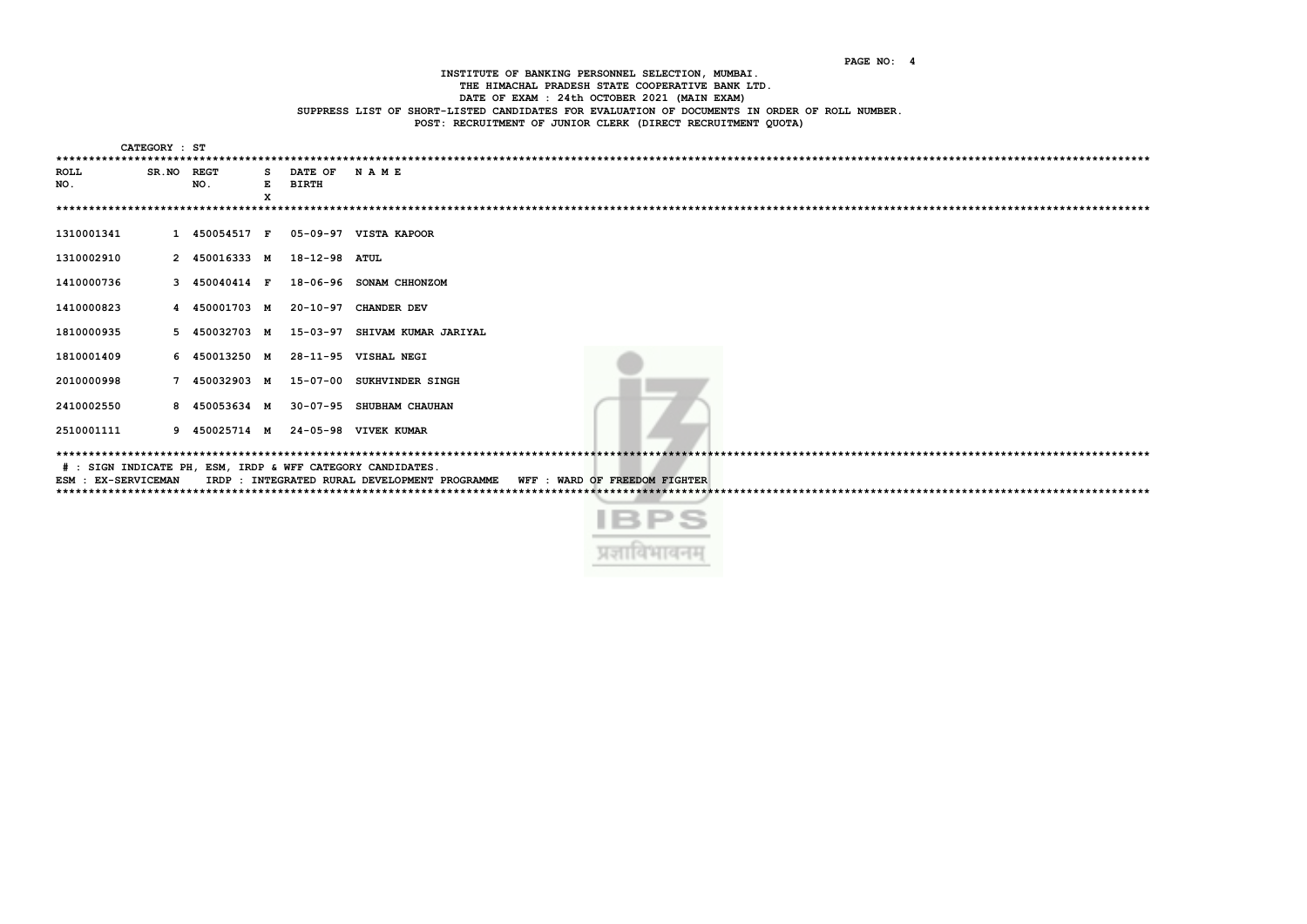INSTITUTE OF BANKING PERSONNEL SELECTION, MUMBAI. THE HIMACHAL PRADESH STATE COOPERATIVE BANK LTD. DATE OF EXAM : 24th OCTOBER 2021 (MAIN EXAM) SUPPRESS LIST OF SHORT-LISTED CANDIDATES FOR EVALUATION OF DOCUMENTS IN ORDER OF ROLL NUMBER. POST: RECRUITMENT OF JUNIOR CLERK (DIRECT RECRUITMENT QUOTA)

|                     | CATEGORY : ST |               |   |               |                                                                                |  |  |  |  |
|---------------------|---------------|---------------|---|---------------|--------------------------------------------------------------------------------|--|--|--|--|
|                     |               |               |   |               |                                                                                |  |  |  |  |
| <b>ROLL</b>         | SR.NO         | <b>REGT</b>   | s | DATE OF       | <b>NAME</b>                                                                    |  |  |  |  |
| NO.                 |               | NO.           | Е | <b>BIRTH</b>  |                                                                                |  |  |  |  |
|                     |               |               | X |               |                                                                                |  |  |  |  |
|                     |               |               |   |               |                                                                                |  |  |  |  |
|                     |               |               |   |               |                                                                                |  |  |  |  |
| 1310001341          |               | 1 450054517 F |   |               | 05-09-97 VISTA KAPOOR                                                          |  |  |  |  |
|                     |               |               |   |               |                                                                                |  |  |  |  |
| 1310002910          |               | 2 450016333 M |   | 18-12-98 ATUL |                                                                                |  |  |  |  |
|                     |               |               |   |               |                                                                                |  |  |  |  |
| 1410000736          |               | 3 450040414 F |   |               | 18-06-96 SONAM CHHONZOM                                                        |  |  |  |  |
|                     |               |               |   |               |                                                                                |  |  |  |  |
| 1410000823          |               | 4 450001703 M |   | 20-10-97      | <b>CHANDER DEV</b>                                                             |  |  |  |  |
|                     |               |               |   |               |                                                                                |  |  |  |  |
| 1810000935          |               | 5 450032703 M |   |               | 15-03-97 SHIVAM KUMAR JARIYAL                                                  |  |  |  |  |
|                     |               |               |   |               |                                                                                |  |  |  |  |
| 1810001409          |               | 6 450013250 M |   |               | 28-11-95 VISHAL NEGI                                                           |  |  |  |  |
|                     |               |               |   |               |                                                                                |  |  |  |  |
| 2010000998          |               | 7 450032903 M |   | 15-07-00      | SUKHVINDER SINGH                                                               |  |  |  |  |
|                     |               |               |   |               |                                                                                |  |  |  |  |
| 2410002550          |               | 8 450053634 M |   |               | 30-07-95 SHUBHAM CHAUHAN                                                       |  |  |  |  |
| 2510001111          |               | 9 450025714 M |   |               | 24-05-98 VIVEK KUMAR                                                           |  |  |  |  |
|                     |               |               |   |               |                                                                                |  |  |  |  |
|                     |               |               |   |               |                                                                                |  |  |  |  |
|                     |               |               |   |               | # : SIGN INDICATE PH, ESM, IRDP & WFF CATEGORY CANDIDATES.                     |  |  |  |  |
| ESM : EX-SERVICEMAN |               |               |   |               | WFF : WARD OF FREEDOM FIGHTER<br>IRDP : INTEGRATED RURAL DEVELOPMENT PROGRAMME |  |  |  |  |
|                     |               |               |   |               |                                                                                |  |  |  |  |
|                     |               |               |   |               |                                                                                |  |  |  |  |
|                     |               |               |   |               | IEIBS                                                                          |  |  |  |  |
|                     |               |               |   |               |                                                                                |  |  |  |  |

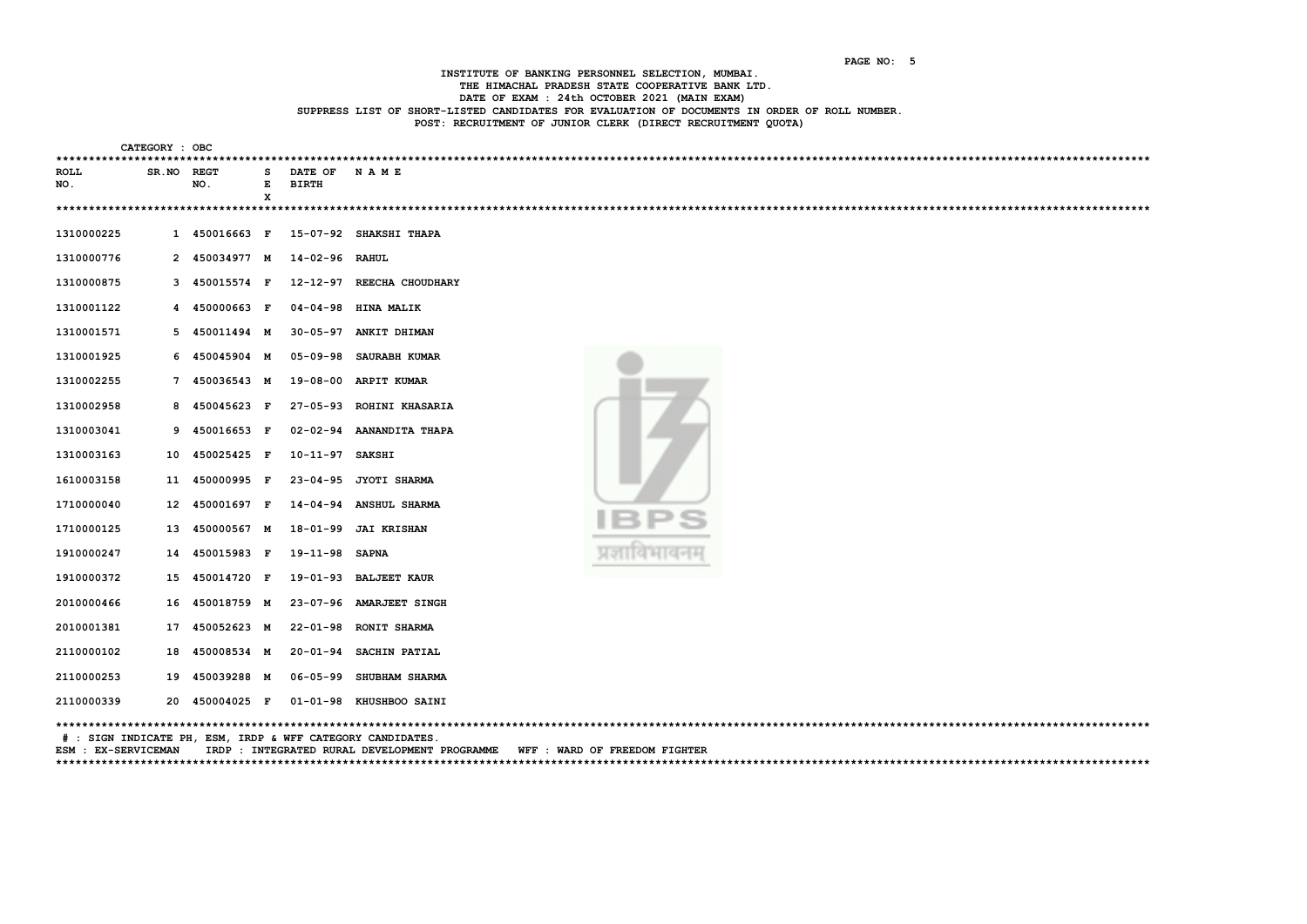INSTITUTE OF BANKING PERSONNEL SELECTION, MUMBAI. THE HIMACHAL PRADESH STATE COOPERATIVE BANK LTD. DATE OF EXAM : 24th OCTOBER 2021 (MAIN EXAM) SUPPRESS LIST OF SHORT-LISTED CANDIDATES FOR EVALUATION OF DOCUMENTS IN ORDER OF ROLL NUMBER. POST: RECRUITMENT OF JUNIOR CLERK (DIRECT RECRUITMENT QUOTA)

| ************ | CATEGORY : OBC |                              |             |                 |                               |  |  |  |  |  |
|--------------|----------------|------------------------------|-------------|-----------------|-------------------------------|--|--|--|--|--|
| ROLL         | SR.NO REGT     |                              | s           | DATE OF         | <b>NAME</b>                   |  |  |  |  |  |
| NO.          |                | NO.                          | Е           | <b>BIRTH</b>    |                               |  |  |  |  |  |
|              |                |                              | $\mathbf x$ |                 |                               |  |  |  |  |  |
|              |                |                              |             |                 |                               |  |  |  |  |  |
| 1310000225   |                | 1 450016663 F                |             |                 | 15-07-92 SHAKSHI THAPA        |  |  |  |  |  |
| 1310000776   |                | 2 450034977 M 14-02-96 RAHUL |             |                 |                               |  |  |  |  |  |
| 1310000875   |                | 3 450015574 F                |             | 12-12-97        | REECHA CHOUDHARY              |  |  |  |  |  |
| 1310001122   |                | 4 450000663 F                |             | $04 - 04 - 98$  | <b>HINA MALIK</b>             |  |  |  |  |  |
| 1310001571   |                | 5 450011494 M                |             |                 | 30-05-97 ANKIT DHIMAN         |  |  |  |  |  |
| 1310001925   |                | 6 450045904 M                |             |                 | 05-09-98 SAURABH KUMAR        |  |  |  |  |  |
| 1310002255   |                | 7 450036543 M                |             |                 | 19-08-00 ARPIT KUMAR          |  |  |  |  |  |
| 1310002958   |                | 8 450045623 F                |             |                 | 27-05-93 ROHINI KHASARIA      |  |  |  |  |  |
| 1310003041   |                | 9 450016653 F                |             |                 | 02-02-94 AANANDITA THAPA      |  |  |  |  |  |
| 1310003163   |                | 10 450025425 F               |             | 10-11-97 SAKSHI |                               |  |  |  |  |  |
| 1610003158   |                | 11 450000995 F               |             | $23 - 04 - 95$  | <b>JYOTI SHARMA</b>           |  |  |  |  |  |
| 1710000040   |                | 12 450001697 F               |             |                 | 14-04-94 ANSHUL SHARMA<br>BIZ |  |  |  |  |  |
| 1710000125   |                | 13 450000567 M               |             | 18-01-99        | <b>JAI KRISHAN</b>            |  |  |  |  |  |
| 1910000247   |                | 14 450015983 F               |             | 19-11-98        | <b>SAPNA</b>                  |  |  |  |  |  |
| 1910000372   |                | 15 450014720 F               |             | 19-01-93        | <b>BALJEET KAUR</b>           |  |  |  |  |  |
| 2010000466   |                | 16 450018759 M               |             |                 | 23-07-96 AMARJEET SINGH       |  |  |  |  |  |
| 2010001381   |                | 17 450052623 M               |             | 22-01-98        | <b>RONIT SHARMA</b>           |  |  |  |  |  |
| 2110000102   |                | 18 450008534 M               |             | $20 - 01 - 94$  | <b>SACHIN PATIAL</b>          |  |  |  |  |  |
| 2110000253   |                | 19 450039288 M               |             |                 | 06-05-99 SHUBHAM SHARMA       |  |  |  |  |  |
| 2110000339   |                | 20 450004025 F               |             |                 | 01-01-98 KHUSHBOO SAINI       |  |  |  |  |  |
|              | TNDTCAME DU    |                              |             |                 | CARRCODY CANDIDARE            |  |  |  |  |  |

# : SIGN INDICATE PH, ESM, IRDP & WFF CATEGORY CANDIDATES.

ESM : EX-SERVICEMAN IRDP : INTEGRATED RURAL DEVELOPMENT PROGRAMME WFF : WARD OF FREEDOM FIGHTER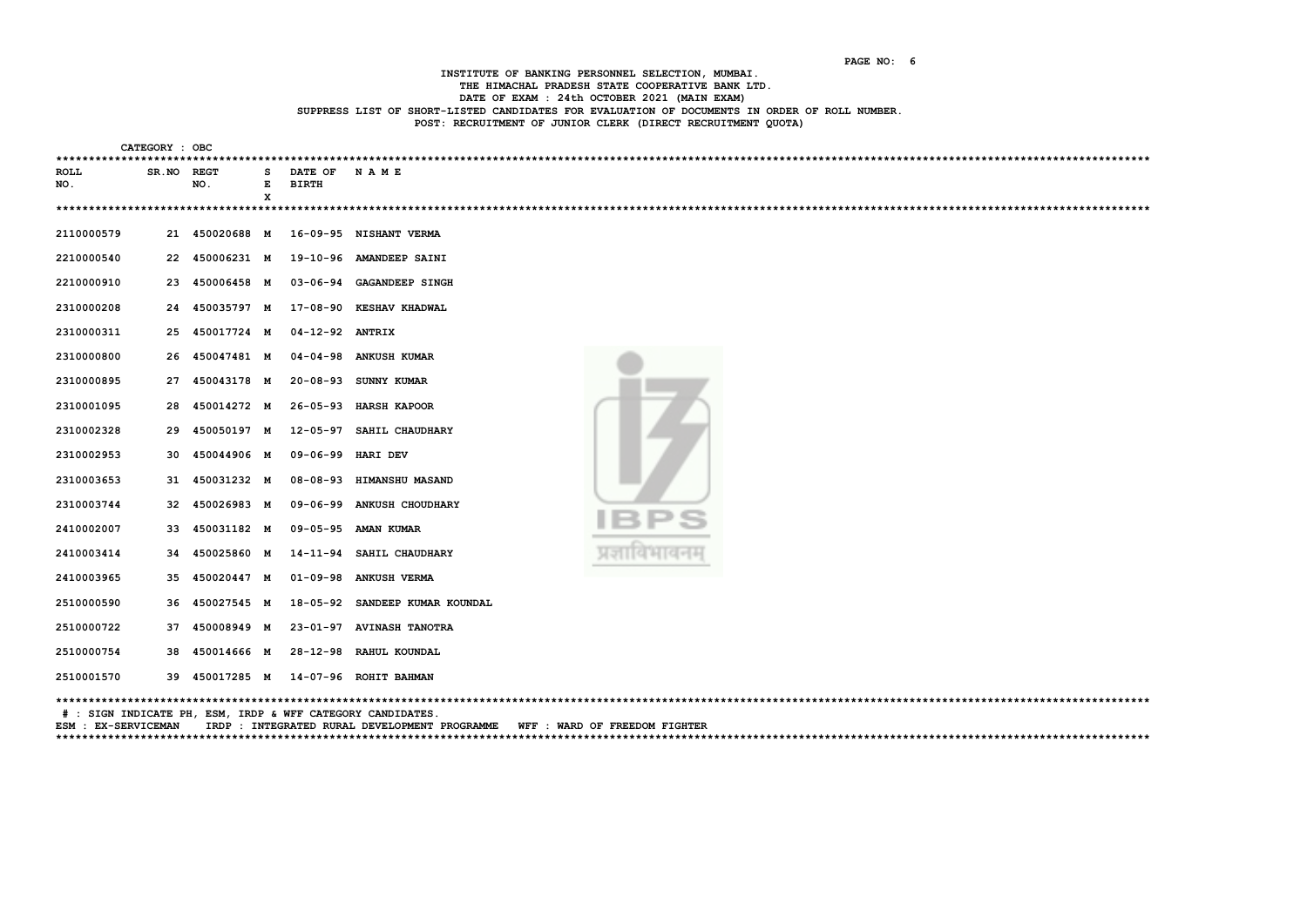INSTITUTE OF BANKING PERSONNEL SELECTION, MUMBAI. THE HIMACHAL PRADESH STATE COOPERATIVE BANK LTD. DATE OF EXAM : 24th OCTOBER 2021 (MAIN EXAM) SUPPRESS LIST OF SHORT-LISTED CANDIDATES FOR EVALUATION OF DOCUMENTS IN ORDER OF ROLL NUMBER. POST: RECRUITMENT OF JUNIOR CLERK (DIRECT RECRUITMENT QUOTA)

| *********** | CATEGORY : OBC |            |                |              |                   |                                                            |
|-------------|----------------|------------|----------------|--------------|-------------------|------------------------------------------------------------|
| <b>ROLL</b> |                | SR.NO REGT |                | s            | DATE OF           | NAME                                                       |
| NO.         |                | NO.        |                | Е            | <b>BIRTH</b>      |                                                            |
|             |                |            |                | $\mathbf{x}$ |                   |                                                            |
| 2110000579  |                |            | 21 450020688 M |              |                   | 16-09-95 NISHANT VERMA                                     |
| 2210000540  |                |            |                |              |                   | 22 450006231 M 19-10-96 AMANDEEP SAINI                     |
| 2210000910  |                |            | 23 450006458 M |              | 03-06-94          | <b>GAGANDEEP SINGH</b>                                     |
| 2310000208  |                |            | 24 450035797 M |              | 17-08-90          | <b>KESHAV KHADWAL</b>                                      |
| 2310000311  |                |            | 25 450017724 M |              | 04-12-92 ANTRIX   |                                                            |
| 2310000800  |                |            | 26 450047481 M |              |                   | 04-04-98 ANKUSH KUMAR                                      |
| 2310000895  |                |            | 27 450043178 M |              |                   | 20-08-93 SUNNY KUMAR                                       |
| 2310001095  |                |            | 28 450014272 M |              | 26-05-93          | <b>HARSH KAPOOR</b>                                        |
| 2310002328  |                |            | 29 450050197 M |              | 12-05-97          | SAHIL CHAUDHARY                                            |
| 2310002953  |                |            | 30 450044906 M |              | 09-06-99 HARI DEV |                                                            |
| 2310003653  |                |            | 31 450031232 M |              |                   | 08-08-93 HIMANSHU MASAND                                   |
| 2310003744  |                |            | 32 450026983 M |              |                   | 09-06-99 ANKUSH CHOUDHARY                                  |
| 2410002007  |                |            | 33 450031182 M |              |                   | $B$ $P$<br>H.<br><b>Service</b><br>09-05-95 AMAN KUMAR     |
| 2410003414  |                |            | 34 450025860 M |              | 14-11-94          | SAHIL CHAUDHARY                                            |
| 2410003965  |                |            | 35 450020447 M |              |                   | 01-09-98 ANKUSH VERMA                                      |
| 2510000590  |                |            | 36 450027545 M |              | 18-05-92          | SANDEEP KUMAR KOUNDAL                                      |
| 2510000722  |                |            | 37 450008949 M |              |                   | 23-01-97 AVINASH TANOTRA                                   |
| 2510000754  |                |            | 38 450014666 M |              |                   | 28-12-98 RAHUL KOUNDAL                                     |
| 2510001570  |                |            |                |              |                   | 39 450017285 M 14-07-96 ROHIT BAHMAN                       |
|             |                |            |                |              |                   | # : SIGN INDICATE PH, ESM, IRDP & WFF CATEGORY CANDIDATES. |

ESM : EX-SERVICEMAN IRDP : INTEGRATED RURAL DEVELOPMENT PROGRAMME WFF : WARD OF FREEDOM FIGHTER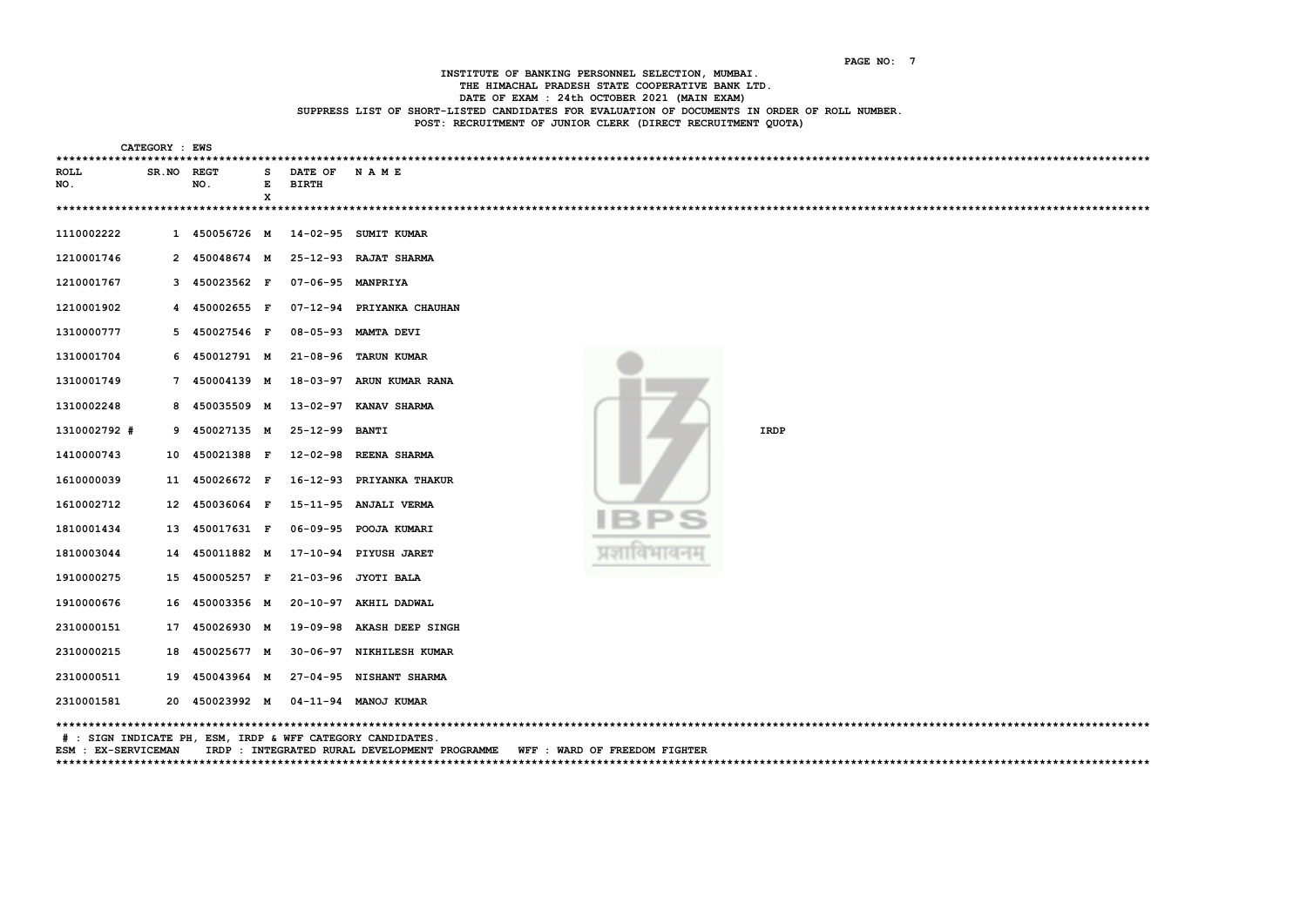INSTITUTE OF BANKING PERSONNEL SELECTION, MUMBAI. THE HIMACHAL PRADESH STATE COOPERATIVE BANK LTD. DATE OF EXAM : 24th OCTOBER 2021 (MAIN EXAM) SUPPRESS LIST OF SHORT-LISTED CANDIDATES FOR EVALUATION OF DOCUMENTS IN ORDER OF ROLL NUMBER. POST: RECRUITMENT OF JUNIOR CLERK (DIRECT RECRUITMENT QUOTA)

| ************* | CATEGORY : EWS |                                      |   |              |                           |      |      |  |  |
|---------------|----------------|--------------------------------------|---|--------------|---------------------------|------|------|--|--|
| ROLL          | SR.NO REGT     |                                      | s | DATE OF      | NAME                      |      |      |  |  |
| NO.           |                | NO.                                  | Е | <b>BIRTH</b> |                           |      |      |  |  |
|               |                | ************************************ | X |              |                           |      |      |  |  |
|               |                |                                      |   |              |                           |      |      |  |  |
| 1110002222    |                | 1 450056726 M                        |   |              | 14-02-95 SUMIT KUMAR      |      |      |  |  |
| 1210001746    |                | 2 450048674 M                        |   | 25-12-93     | <b>RAJAT SHARMA</b>       |      |      |  |  |
| 1210001767    |                | 3 450023562 F                        |   | 07-06-95     | <b>MANPRIYA</b>           |      |      |  |  |
| 1210001902    |                | 4 450002655 F                        |   |              | 07-12-94 PRIYANKA CHAUHAN |      |      |  |  |
| 1310000777    |                | 5 450027546 F                        |   |              | 08-05-93 MAMTA DEVI       |      |      |  |  |
| 1310001704    |                | 6 450012791 M                        |   |              | 21-08-96 TARUN KUMAR      |      |      |  |  |
| 1310001749    |                | 7 450004139 M                        |   |              | 18-03-97 ARUN KUMAR RANA  |      |      |  |  |
| 1310002248    |                | 8 450035509 M                        |   | 13-02-97     | <b>KANAV SHARMA</b>       |      |      |  |  |
| 1310002792 #  |                | 9 450027135 M                        |   | 25-12-99     | <b>BANTI</b>              |      | IRDP |  |  |
| 1410000743    |                | 10 450021388 F                       |   | 12-02-98     | REENA SHARMA              |      |      |  |  |
| 1610000039    |                | 11 450026672 F                       |   | 16-12-93     | PRIYANKA THAKUR           |      |      |  |  |
| 1610002712    |                | 12 450036064 F                       |   |              | 15-11-95 ANJALI VERMA     | IBPS |      |  |  |
| 1810001434    |                | 13 450017631 F                       |   |              | 06-09-95 POOJA KUMARI     |      |      |  |  |
| 1810003044    |                | 14 450011882 M                       |   |              | 17-10-94 PIYUSH JARET     |      |      |  |  |
| 1910000275    |                | 15 450005257 F                       |   |              | 21-03-96 JYOTI BALA       |      |      |  |  |
| 1910000676    |                | 16 450003356 M                       |   |              | 20-10-97 AKHIL DADWAL     |      |      |  |  |
| 2310000151    |                | 17 450026930 M                       |   |              | 19-09-98 AKASH DEEP SINGH |      |      |  |  |
| 2310000215    |                | 18 450025677 M                       |   |              | 30-06-97 NIKHILESH KUMAR  |      |      |  |  |
| 2310000511    |                | 19 450043964 M                       |   |              | 27-04-95 NISHANT SHARMA   |      |      |  |  |
| 2310001581    |                | 20 450023992 M                       |   |              | 04-11-94 MANOJ KUMAR      |      |      |  |  |
|               |                |                                      |   |              |                           |      |      |  |  |

# : SIGN INDICATE PH, ESM, IRDP & WFF CATEGORY CANDIDATES.

ESM : EX-SERVICEMAN IRDP : INTEGRATED RURAL DEVELOPMENT PROGRAMME WFF : WARD OF FREEDOM FIGHTER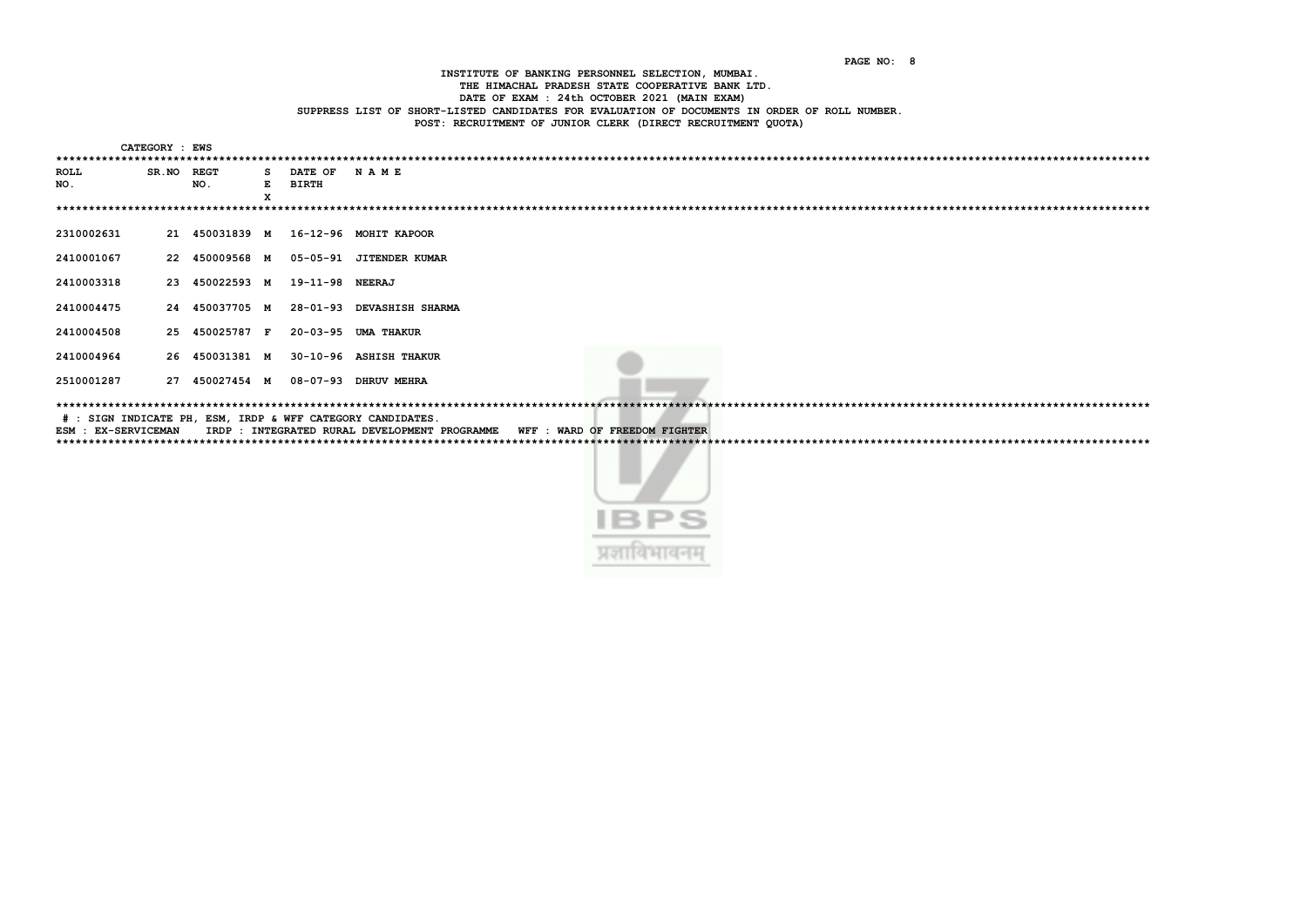INSTITUTE OF BANKING PERSONNEL SELECTION, MUMBAI. THE HIMACHAL PRADESH STATE COOPERATIVE BANK LTD. DATE OF EXAM : 24th OCTOBER 2021 (MAIN EXAM) SUPPRESS LIST OF SHORT-LISTED CANDIDATES FOR EVALUATION OF DOCUMENTS IN ORDER OF ROLL NUMBER. POST: RECRUITMENT OF JUNIOR CLERK (DIRECT RECRUITMENT QUOTA)

|             | CATEGORY : EWS |                    |             |                                |                                                           |
|-------------|----------------|--------------------|-------------|--------------------------------|-----------------------------------------------------------|
| ROLL<br>NO. | <b>SR.NO</b>   | <b>REGT</b><br>NO. | s<br>Е<br>x | <b>DATE OF</b><br><b>BIRTH</b> | NAME                                                      |
|             |                |                    |             |                                |                                                           |
| 2310002631  |                | 21 450031839 M     |             |                                | 16-12-96 MOHIT KAPOOR                                     |
| 2410001067  |                | 22 450009568 M     |             |                                | 05-05-91 JITENDER KUMAR                                   |
| 2410003318  |                | 23 450022593 M     |             | 19-11-98 NEERAJ                |                                                           |
| 2410004475  |                | 24 450037705 M     |             |                                | 28-01-93 DEVASHISH SHARMA                                 |
| 2410004508  |                | 25 450025787 F     |             |                                | 20-03-95 UMA THAKUR                                       |
| 2410004964  |                | 26 450031381 M     |             |                                | 30-10-96 ASHISH THAKUR                                    |
| 2510001287  |                | 27 450027454 M     |             |                                | 08-07-93 DHRUV MEHRA                                      |
|             |                |                    |             |                                | #: SIGN INDICATE PH. ESM. IRDP & WFF CATEGORY CANDIDATES. |

ESM : EX-SERVICEMAN IRDP : INTEGRATED RURAL DEVELOPMENT PROGRAMME WFF : WARD OF FREEDOM FIGHTER 

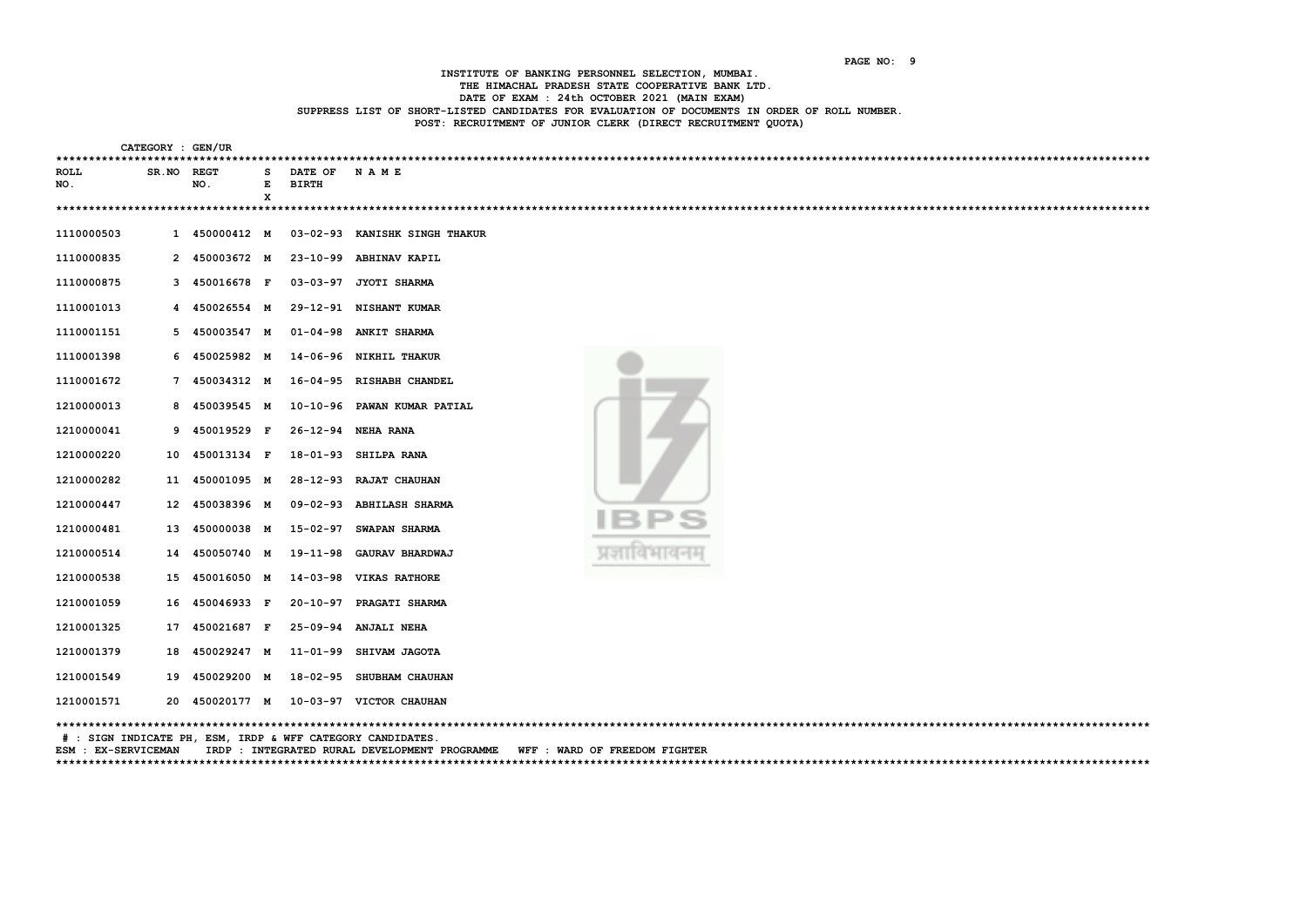INSTITUTE OF BANKING PERSONNEL SELECTION, MUMBAI. THE HIMACHAL PRADESH STATE COOPERATIVE BANK LTD. DATE OF EXAM : 24th OCTOBER 2021 (MAIN EXAM) SUPPRESS LIST OF SHORT-LISTED CANDIDATES FOR EVALUATION OF DOCUMENTS IN ORDER OF ROLL NUMBER. POST: RECRUITMENT OF JUNIOR CLERK (DIRECT RECRUITMENT QUOTA)

| *********** | CATEGORY : GEN/UR |                   |        |                         |                                           |
|-------------|-------------------|-------------------|--------|-------------------------|-------------------------------------------|
| ROLL<br>NO. |                   | SR.NO REGT<br>NO. | s<br>Е | DATE OF<br><b>BIRTH</b> | <b>NAME</b>                               |
|             |                   |                   | X      |                         |                                           |
|             |                   |                   |        |                         | ************                              |
| 1110000503  |                   | 1 450000412 M     |        |                         | 03-02-93 KANISHK SINGH THAKUR             |
| 1110000835  |                   | 2 450003672 M     |        |                         | 23-10-99 ABHINAV KAPIL                    |
| 1110000875  |                   | 3 450016678 F     |        |                         | 03-03-97 JYOTI SHARMA                     |
| 1110001013  |                   | 4 450026554 M     |        |                         | 29-12-91 NISHANT KUMAR                    |
| 1110001151  |                   | 5 450003547 M     |        |                         | 01-04-98 ANKIT SHARMA                     |
| 1110001398  |                   | 6 450025982 M     |        |                         | 14-06-96 NIKHIL THAKUR                    |
| 1110001672  |                   | 7 450034312 M     |        |                         | 16-04-95 RISHABH CHANDEL                  |
| 1210000013  |                   |                   |        |                         | 8 450039545 M 10-10-96 PAWAN KUMAR PATIAL |
| 1210000041  |                   | 9 450019529 F     |        |                         | 26-12-94 NEHA RANA                        |
| 1210000220  |                   | 10 450013134 F    |        | 18-01-93                | <b>SHILPA RANA</b>                        |
| 1210000282  |                   | 11 450001095 M    |        |                         | 28-12-93 RAJAT CHAUHAN                    |
| 1210000447  |                   | 12 450038396 M    |        |                         | 09-02-93 ABHILASH SHARMA                  |
| 1210000481  |                   | 13 450000038 M    |        | 15-02-97                | BF<br><b>SWAPAN SHARMA</b>                |
| 1210000514  |                   |                   |        | 14 450050740 M 19-11-98 | GAURAV BHARDWAJ                           |
| 1210000538  |                   |                   |        |                         | 15 450016050 M 14-03-98 VIKAS RATHORE     |
| 1210001059  |                   | 16 450046933 F    |        | 20-10-97                | PRAGATI SHARMA                            |
| 1210001325  |                   | 17 450021687 F    |        |                         | 25-09-94 ANJALI NEHA                      |
| 1210001379  |                   | 18 450029247 M    |        |                         | 11-01-99 SHIVAM JAGOTA                    |
| 1210001549  |                   |                   |        |                         | 19 450029200 M 18-02-95 SHUBHAM CHAUHAN   |
| 1210001571  |                   |                   |        |                         | 20 450020177 M 10-03-97 VICTOR CHAUHAN    |
|             |                   |                   |        |                         |                                           |

# : SIGN INDICATE PH, ESM, IRDP & WFF CATEGORY CANDIDATES.

ESM : EX-SERVICEMAN IRDP : INTEGRATED RURAL DEVELOPMENT PROGRAMME WFF : WARD OF FREEDOM FIGHTER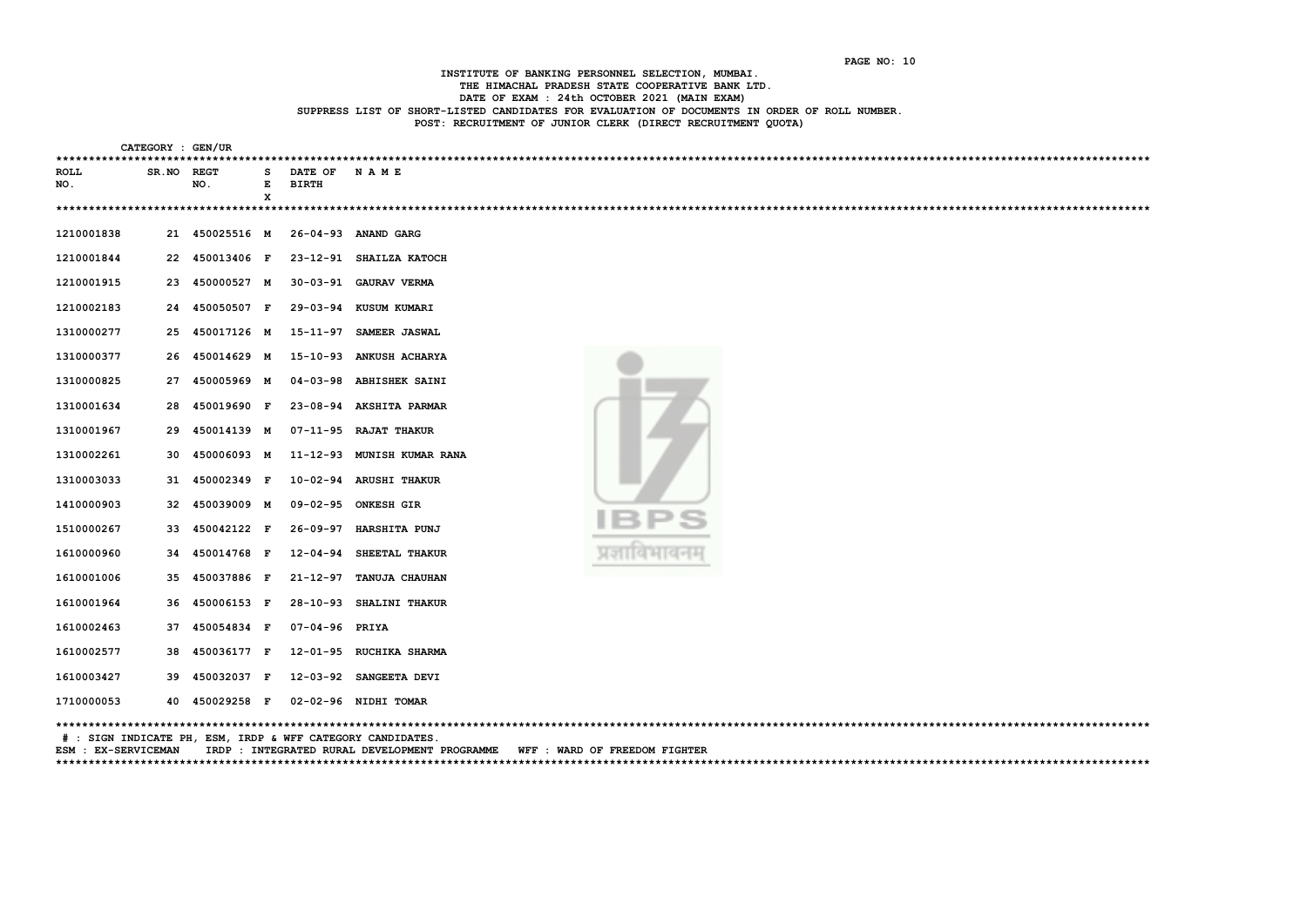INSTITUTE OF BANKING PERSONNEL SELECTION, MUMBAI. THE HIMACHAL PRADESH STATE COOPERATIVE BANK LTD. DATE OF EXAM : 24th OCTOBER 2021 (MAIN EXAM) SUPPRESS LIST OF SHORT-LISTED CANDIDATES FOR EVALUATION OF DOCUMENTS IN ORDER OF ROLL NUMBER. POST: RECRUITMENT OF JUNIOR CLERK (DIRECT RECRUITMENT QUOTA)

| ************* | CATEGORY : GEN/UR |                |        |              |                                                          |
|---------------|-------------------|----------------|--------|--------------|----------------------------------------------------------|
| ROLL          |                   | SR.NO REGT     | s      | DATE OF      | NAME                                                     |
| NO.           |                   | NO.            | Е<br>x | <b>BIRTH</b> |                                                          |
|               |                   |                |        |              |                                                          |
| 1210001838    |                   | 21 450025516 M |        |              | 26-04-93 ANAND GARG                                      |
| 1210001844    |                   | 22 450013406 F |        | 23-12-91     | SHAILZA KATOCH                                           |
| 1210001915    |                   | 23 450000527 M |        | 30-03-91     | <b>GAURAV VERMA</b>                                      |
| 1210002183    |                   | 24 450050507 F |        | 29-03-94     | KUSUM KUMARI                                             |
| 1310000277    |                   | 25 450017126 M |        | 15-11-97     | <b>SAMEER JASWAL</b>                                     |
| 1310000377    |                   | 26 450014629 M |        |              | 15-10-93 ANKUSH ACHARYA                                  |
| 1310000825    |                   | 27 450005969 M |        |              | 04-03-98 ABHISHEK SAINI                                  |
| 1310001634    |                   | 28 450019690 F |        |              | 23-08-94 AKSHITA PARMAR                                  |
| 1310001967    |                   | 29 450014139 M |        |              | 07-11-95 RAJAT THAKUR                                    |
| 1310002261    |                   |                |        |              | 30 450006093 M 11-12-93 MUNISH KUMAR RANA                |
| 1310003033    |                   | 31 450002349 F |        |              | 10-02-94 ARUSHI THAKUR                                   |
| 1410000903    |                   | 32 450039009 M |        | 09-02-95     | <b>ONKESH GIR</b>                                        |
| 1510000267    |                   | 33 450042122 F |        | 26-09-97     | HARSHITA PUNJ                                            |
| 1610000960    |                   | 34 450014768 F |        | 12-04-94     | SHEETAL THAKUR                                           |
| 1610001006    |                   | 35 450037886 F |        | 21-12-97     | TANUJA CHAUHAN                                           |
| 1610001964    | 36                | 450006153 F    |        | 28-10-93     | <b>SHALINI THAKUR</b>                                    |
| 1610002463    |                   | 37 450054834 F |        | 07-04-96     | <b>PRIYA</b>                                             |
| 1610002577    |                   | 38 450036177 F |        | 12-01-95     | RUCHIKA SHARMA                                           |
| 1610003427    |                   | 39 450032037 F |        | 12-03-92     | SANGEETA DEVI                                            |
| 1710000053    |                   | 40 450029258 F |        |              | 02-02-96 NIDHI TOMAR                                     |
|               |                   |                |        |              | #: SIGN INDICATE PH. ESM. IRDP & WFF CATEGORY CANDIDATES |

ESM : EX-SERVICEMAN IRDP : INTEGRATED RURAL DEVELOPMENT PROGRAMME WFF : WARD OF FREEDOM FIGHTER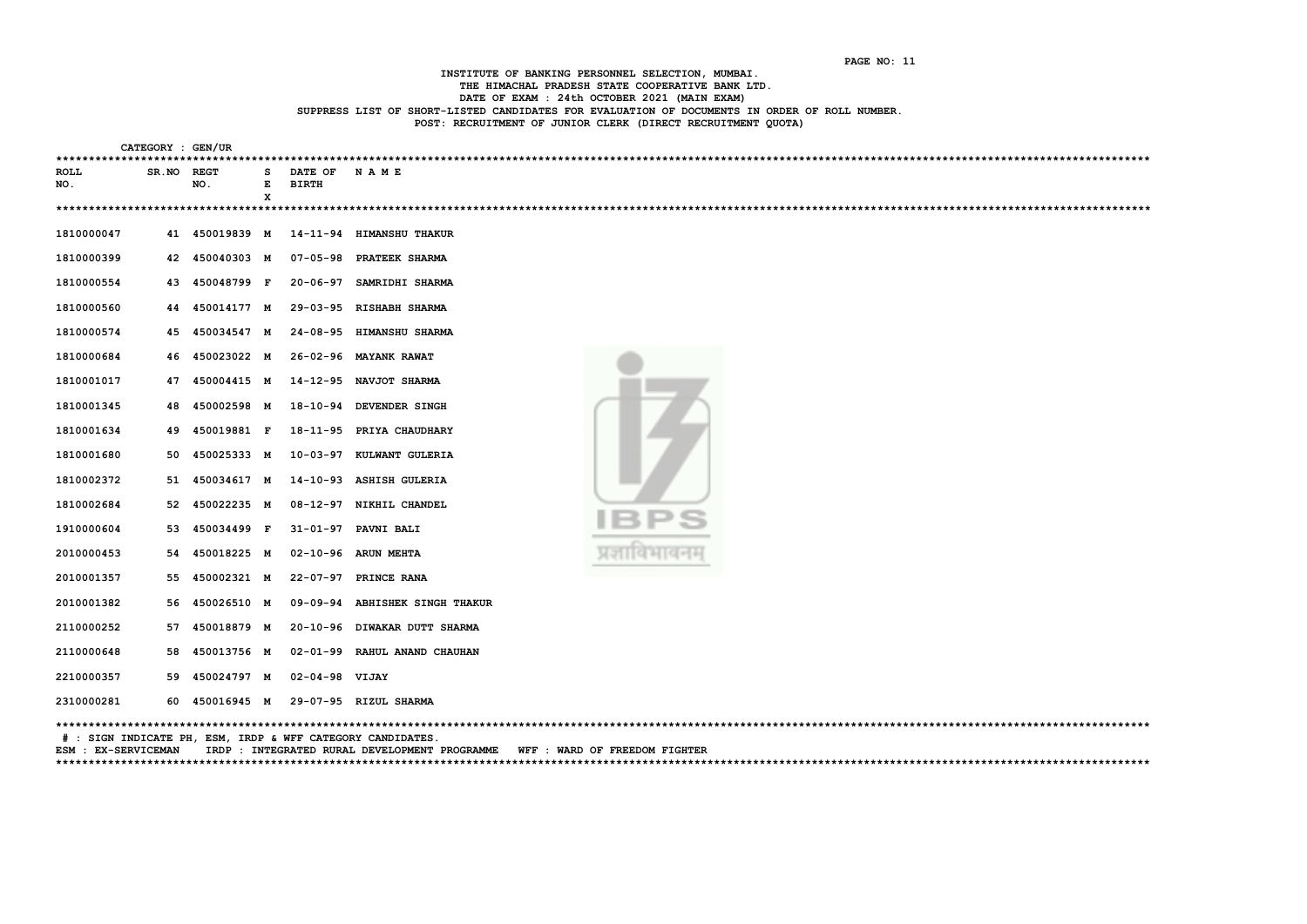INSTITUTE OF BANKING PERSONNEL SELECTION, MUMBAI. THE HIMACHAL PRADESH STATE COOPERATIVE BANK LTD. DATE OF EXAM : 24th OCTOBER 2021 (MAIN EXAM) SUPPRESS LIST OF SHORT-LISTED CANDIDATES FOR EVALUATION OF DOCUMENTS IN ORDER OF ROLL NUMBER. POST: RECRUITMENT OF JUNIOR CLERK (DIRECT RECRUITMENT QUOTA)

| ************ | CATEGORY : GEN/UR |                |  |   |                      |                                        |  |  |  |  |
|--------------|-------------------|----------------|--|---|----------------------|----------------------------------------|--|--|--|--|
| ROLL         |                   | SR.NO REGT     |  | s | DATE OF              | <b>NAME</b>                            |  |  |  |  |
| NO.          |                   | NO.            |  | Е | <b>BIRTH</b>         |                                        |  |  |  |  |
|              |                   |                |  | x |                      |                                        |  |  |  |  |
|              |                   |                |  |   |                      |                                        |  |  |  |  |
| 1810000047   |                   | 41 450019839 M |  |   |                      | 14-11-94 HIMANSHU THAKUR               |  |  |  |  |
| 1810000399   |                   | 42 450040303 M |  |   | 07-05-98             | PRATEEK SHARMA                         |  |  |  |  |
| 1810000554   |                   | 43 450048799 F |  |   | $20 - 06 - 97$       | SAMRIDHI SHARMA                        |  |  |  |  |
| 1810000560   |                   | 44 450014177 M |  |   |                      | 29-03-95 RISHABH SHARMA                |  |  |  |  |
| 1810000574   |                   | 45 450034547 M |  |   |                      | 24-08-95 HIMANSHU SHARMA               |  |  |  |  |
| 1810000684   |                   | 46 450023022 M |  |   |                      | 26-02-96 MAYANK RAWAT                  |  |  |  |  |
| 1810001017   |                   | 47 450004415 M |  |   |                      | 14-12-95 NAVJOT SHARMA                 |  |  |  |  |
| 1810001345   |                   |                |  |   |                      | 48 450002598 M 18-10-94 DEVENDER SINGH |  |  |  |  |
| 1810001634   |                   | 49 450019881 F |  |   | 18-11-95             | PRIYA CHAUDHARY                        |  |  |  |  |
| 1810001680   |                   | 50 450025333 M |  |   | 10-03-97             | KULWANT GULERIA                        |  |  |  |  |
| 1810002372   |                   | 51 450034617 M |  |   |                      | 14-10-93 ASHISH GULERIA                |  |  |  |  |
| 1810002684   |                   | 52 450022235 M |  |   | 08-12-97             | NIKHIL CHANDEL<br>IBPS                 |  |  |  |  |
| 1910000604   |                   | 53 450034499 F |  |   | 31-01-97             | <b>PAVNI BALI</b>                      |  |  |  |  |
| 2010000453   |                   | 54 450018225 M |  |   |                      | 02-10-96 ARUN MEHTA                    |  |  |  |  |
| 2010001357   |                   | 55 450002321 M |  |   |                      | 22-07-97 PRINCE RANA                   |  |  |  |  |
| 2010001382   |                   | 56 450026510 M |  |   |                      | 09-09-94 ABHISHEK SINGH THAKUR         |  |  |  |  |
| 2110000252   |                   | 57 450018879 M |  |   |                      | 20-10-96 DIWAKAR DUTT SHARMA           |  |  |  |  |
| 2110000648   |                   | 58 450013756 M |  |   |                      | 02-01-99 RAHUL ANAND CHAUHAN           |  |  |  |  |
| 2210000357   |                   | 59 450024797 M |  |   | $02 - 04 - 98$ VIJAY |                                        |  |  |  |  |
| 2310000281   |                   | 60 450016945 M |  |   |                      | 29-07-95 RIZUL SHARMA                  |  |  |  |  |
|              |                   |                |  |   |                      |                                        |  |  |  |  |

# : SIGN INDICATE PH, ESM, IRDP & WFF CATEGORY CANDIDATES.

ESM : EX-SERVICEMAN IRDP : INTEGRATED RURAL DEVELOPMENT PROGRAMME WFF : WARD OF FREEDOM FIGHTER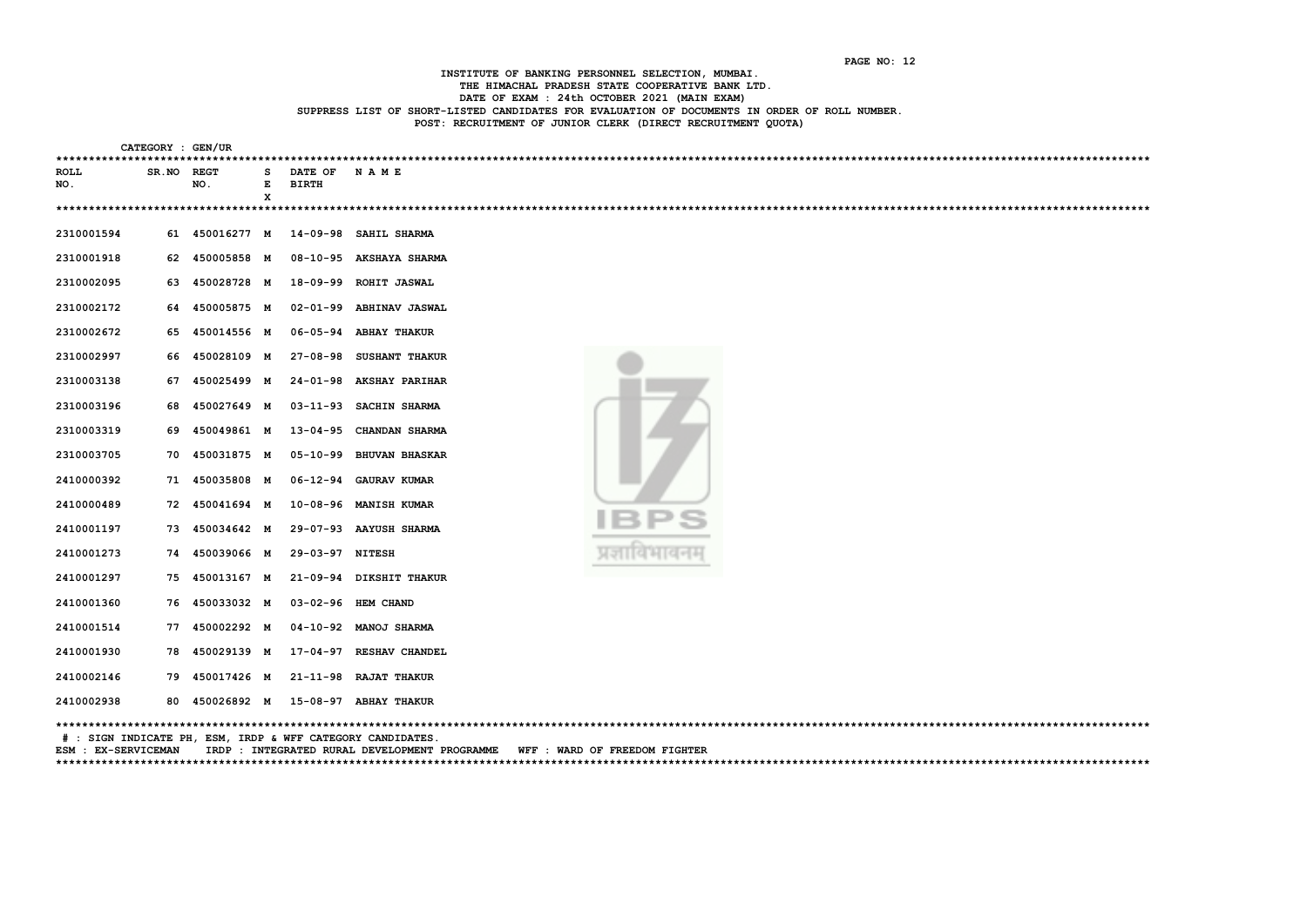INSTITUTE OF BANKING PERSONNEL SELECTION, MUMBAI. THE HIMACHAL PRADESH STATE COOPERATIVE BANK LTD. DATE OF EXAM : 24th OCTOBER 2021 (MAIN EXAM) SUPPRESS LIST OF SHORT-LISTED CANDIDATES FOR EVALUATION OF DOCUMENTS IN ORDER OF ROLL NUMBER. POST: RECRUITMENT OF JUNIOR CLERK (DIRECT RECRUITMENT QUOTA)

| ************* | CATEGORY : GEN/UR |                |        |                 |                                                            |
|---------------|-------------------|----------------|--------|-----------------|------------------------------------------------------------|
| <b>ROLL</b>   |                   | SR.NO REGT     | s      | DATE OF         | NAME                                                       |
| NO.           |                   | NO.            | Е<br>x | <b>BIRTH</b>    |                                                            |
|               |                   |                |        |                 |                                                            |
| 2310001594    |                   |                |        |                 | 61 450016277 M 14-09-98 SAHIL SHARMA                       |
| 2310001918    |                   | 62 450005858 M |        |                 | 08-10-95 AKSHAYA SHARMA                                    |
| 2310002095    |                   | 63 450028728 M |        | 18-09-99        | <b>ROHIT JASWAL</b>                                        |
| 2310002172    |                   | 64 450005875 M |        |                 | 02-01-99 ABHINAV JASWAL                                    |
| 2310002672    |                   | 65 450014556 M |        |                 | 06-05-94 ABHAY THAKUR                                      |
| 2310002997    |                   | 66 450028109 M |        | 27-08-98        | <b>SUSHANT THAKUR</b>                                      |
| 2310003138    |                   | 67 450025499 M |        |                 | 24-01-98 AKSHAY PARIHAR                                    |
| 2310003196    |                   | 68 450027649 M |        | 03-11-93        | <b>SACHIN SHARMA</b>                                       |
| 2310003319    |                   | 69 450049861 M |        | 13-04-95        | <b>CHANDAN SHARMA</b>                                      |
| 2310003705    |                   | 70 450031875 M |        |                 | 05-10-99 BHUVAN BHASKAR                                    |
| 2410000392    |                   | 71 450035808 M |        |                 | 06-12-94 GAURAV KUMAR                                      |
| 2410000489    |                   |                |        |                 | 72 450041694 M 10-08-96 MANISH KUMAR                       |
| 2410001197    |                   | 73 450034642 M |        |                 | IBPS<br>29-07-93 AAYUSH SHARMA                             |
| 2410001273    |                   | 74 450039066 M |        | 29-03-97 NITESH | genre encer                                                |
| 2410001297    |                   | 75 450013167 M |        |                 | 21-09-94 DIKSHIT THAKUR                                    |
| 2410001360    |                   | 76 450033032 M |        |                 | 03-02-96 HEM CHAND                                         |
| 2410001514    |                   | 77 450002292 M |        |                 | 04-10-92 MANOJ SHARMA                                      |
| 2410001930    |                   |                |        |                 | 78 450029139 M 17-04-97 RESHAV CHANDEL                     |
| 2410002146    |                   | 79 450017426 M |        |                 | 21-11-98 RAJAT THAKUR                                      |
| 2410002938    |                   |                |        |                 | 80 450026892 M 15-08-97 ABHAY THAKUR                       |
|               |                   |                |        |                 | # : SIGN INDICATE PH, ESM, IRDP & WFF CATEGORY CANDIDATES. |

ESM : EX-SERVICEMAN IRDP : INTEGRATED RURAL DEVELOPMENT PROGRAMME WFF : WARD OF FREEDOM FIGHTER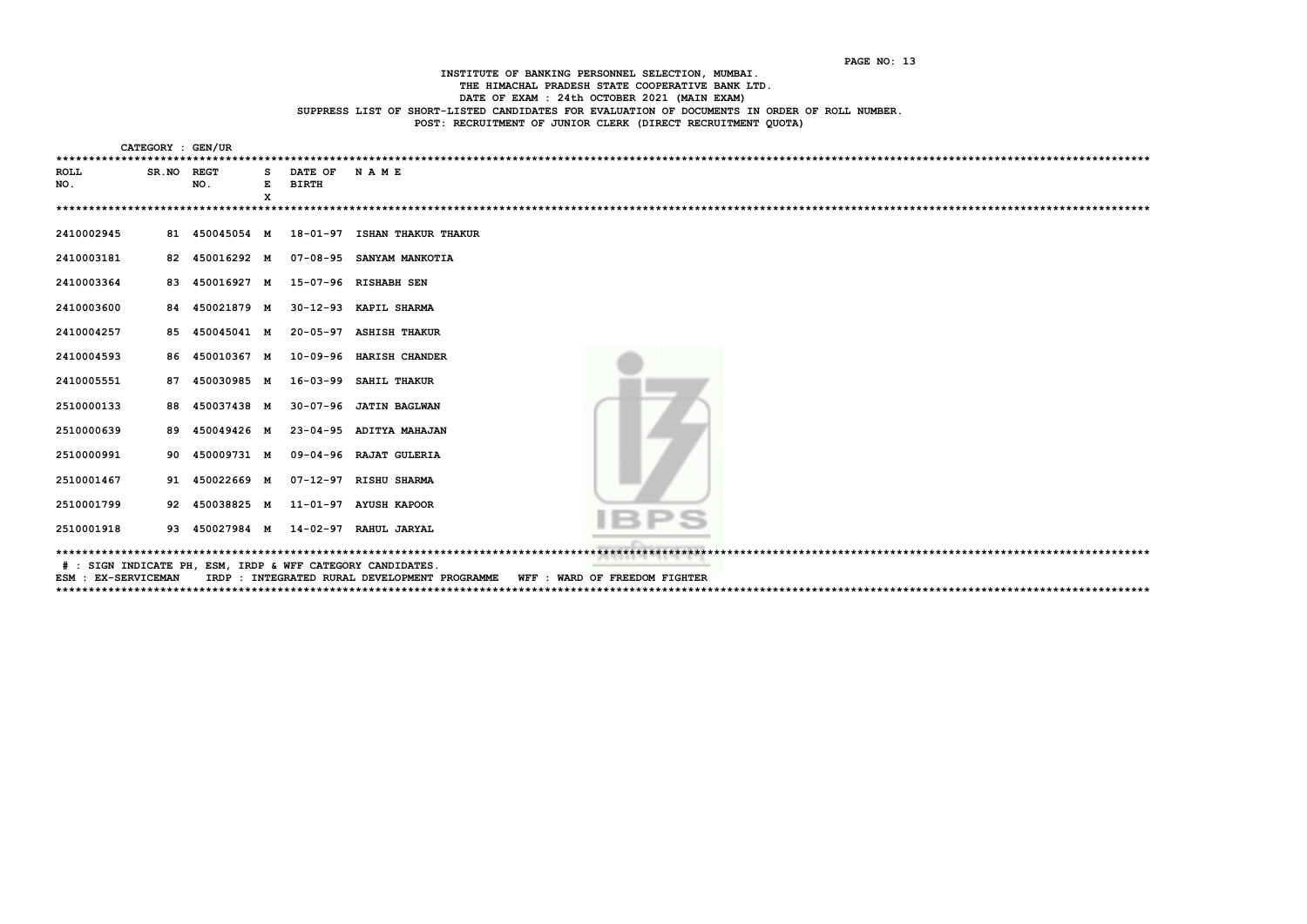INSTITUTE OF BANKING PERSONNEL SELECTION, MUMBAI. THE HIMACHAL PRADESH STATE COOPERATIVE BANK LTD. DATE OF EXAM : 24th OCTOBER 2021 (MAIN EXAM) SUPPRESS LIST OF SHORT-LISTED CANDIDATES FOR EVALUATION OF DOCUMENTS IN ORDER OF ROLL NUMBER. POST: RECRUITMENT OF JUNIOR CLERK (DIRECT RECRUITMENT QUOTA)

| **************     | CATEGORY : GEN/UR |                    |             |                         |                               |
|--------------------|-------------------|--------------------|-------------|-------------------------|-------------------------------|
| <b>ROLL</b><br>NO. | <b>SR.NO</b>      | <b>REGT</b><br>NO. | s<br>Е<br>X | DATE OF<br><b>BIRTH</b> | NAME                          |
|                    |                   |                    |             |                         |                               |
| 2410002945         |                   | 81 450045054 M     |             |                         | 18-01-97 ISHAN THAKUR THAKUR  |
| 2410003181         |                   | 82 450016292 M     |             |                         | 07-08-95 SANYAM MANKOTIA      |
| 2410003364         |                   | 83 450016927 M     |             |                         | 15-07-96 RISHABH SEN          |
| 2410003600         |                   | 84 450021879 M     |             |                         | 30-12-93 KAPIL SHARMA         |
| 2410004257         |                   | 85 450045041 M     |             | 20-05-97                | <b>ASHISH THAKUR</b>          |
| 2410004593         |                   | 86 450010367 M     |             |                         | 10-09-96 HARISH CHANDER       |
| 2410005551         |                   | 87 450030985 M     |             | $16 - 03 - 99$          | SAHIL THAKUR                  |
| 2510000133         |                   | 88 450037438 M     |             |                         | 30-07-96 JATIN BAGLWAN        |
| 2510000639         |                   | 89 450049426 M     |             |                         | 23-04-95 ADITYA MAHAJAN       |
| 2510000991         |                   | 90 450009731 M     |             |                         | 09-04-96 RAJAT GULERIA        |
| 2510001467         |                   | 91 450022669 M     |             | 07-12-97                | <b>RISHU SHARMA</b>           |
| 2510001799         |                   | 92 450038825 M     |             | 11-01-97                | <b>AYUSH KAPOOR</b>           |
| 2510001918         |                   | 93 450027984 M     |             |                         | IBPS<br>14-02-97 RAHUL JARYAL |
|                    |                   |                    |             |                         |                               |

# : SIGN INDICATE PH, ESM, IRDP & WFF CATEGORY CANDIDATES.

ESM : EX-SERVICEMAN IRDP : INTEGRATED RURAL DEVELOPMENT PROGRAMME WFF : WARD OF FREEDOM FIGHTER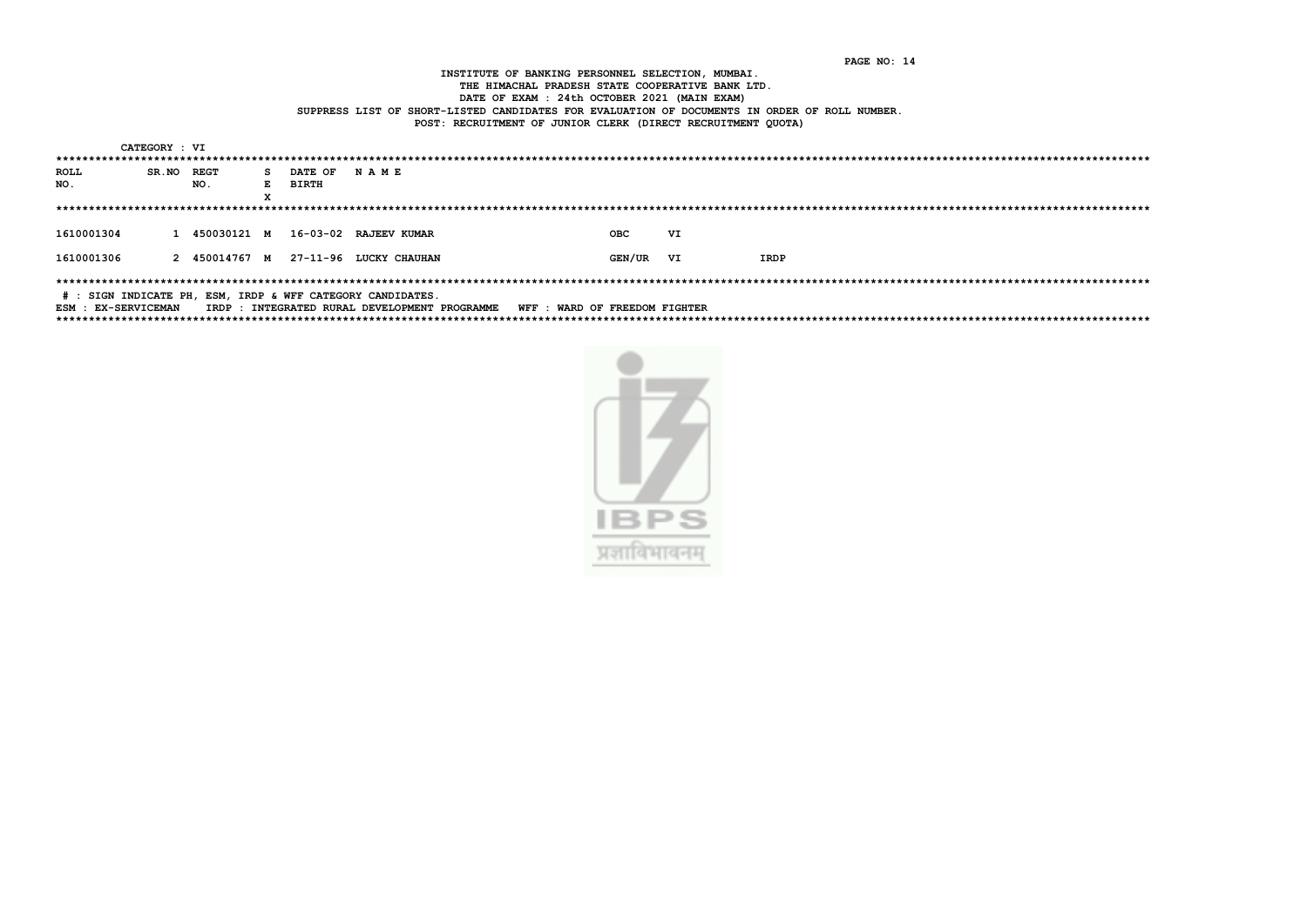INSTITUTE OF BANKING PERSONNEL SELECTION, MUMBAI. THE HIMACHAL PRADESH STATE COOPERATIVE BANK LTD. DATE OF EXAM : 24th OCTOBER 2021 (MAIN EXAM) SUPPRESS LIST OF SHORT-LISTED CANDIDATES FOR EVALUATION OF DOCUMENTS IN ORDER OF ROLL NUMBER.

POST: RECRUITMENT OF JUNIOR CLERK (DIRECT RECRUITMENT OUOTA)

CATEGORY : VI **ROLL** SR.NO REGT S DATE OF NAME NO. NO. E BIRTH  $\mathbf{x}$ 1610001304 1 450030121 M 16-03-02 RAJEEV KUMAR **OBC** VI 1610001306 2 450014767 M 27-11-96 LUCKY CHAUHAN GEN/UR VI IRDP # : SIGN INDICATE PH, ESM, IRDP & WFF CATEGORY CANDIDATES. ESM : EX-SERVICEMAN TRDP : INTEGRATED RURAL DEVELOPMENT PROGRAMME. WEE : WARD OF FREEDOM FIGHTER



PAGE NO: 14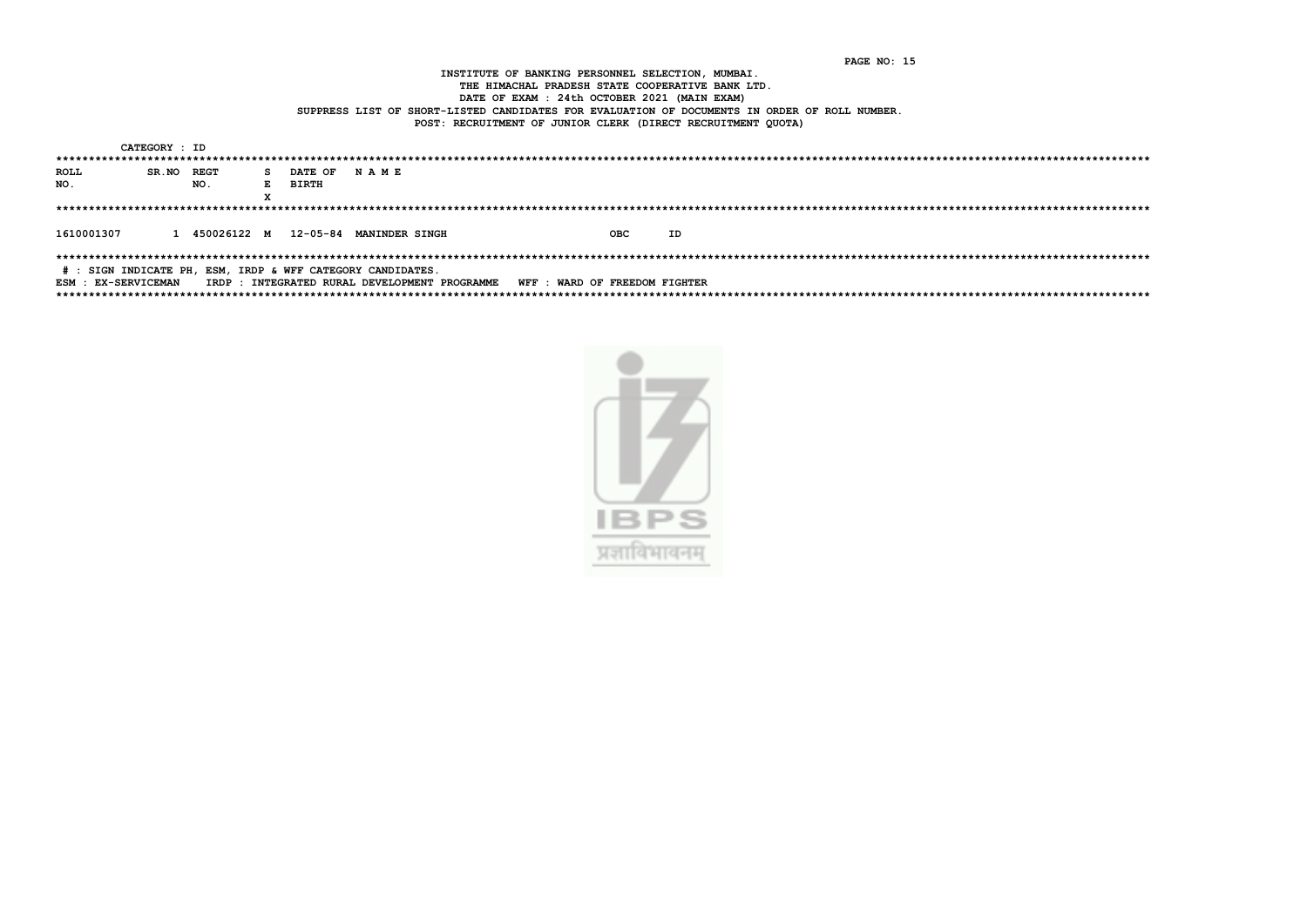INSTITUTE OF BANKING PERSONNEL SELECTION, MUMBAI. THE HIMACHAL PRADESH STATE COOPERATIVE BANK LTD. DATE OF EXAM : 24th OCTOBER 2021 (MAIN EXAM) SUPPRESS LIST OF SHORT-LISTED CANDIDATES FOR EVALUATION OF DOCUMENTS IN ORDER OF ROLL NUMBER. POST: RECRUITMENT OF JUNIOR CLERK (DIRECT RECRUITMENT OUOTA)

CATEGORY : ID **ROLL** SR.NO REGT S DATE OF NAME NO. NO. E BIRTH  $\mathbf{x}$ 1610001307 1 450026122 M 12-05-84 MANINDER SINGH **OBC** ID # : SIGN INDICATE PH, ESM, IRDP & WFF CATEGORY CANDIDATES. ESM : EX-SERVICEMAN IRDP : INTEGRATED RURAL DEVELOPMENT PROGRAMME WFF : WARD OF FREEDOM FIGHTER 

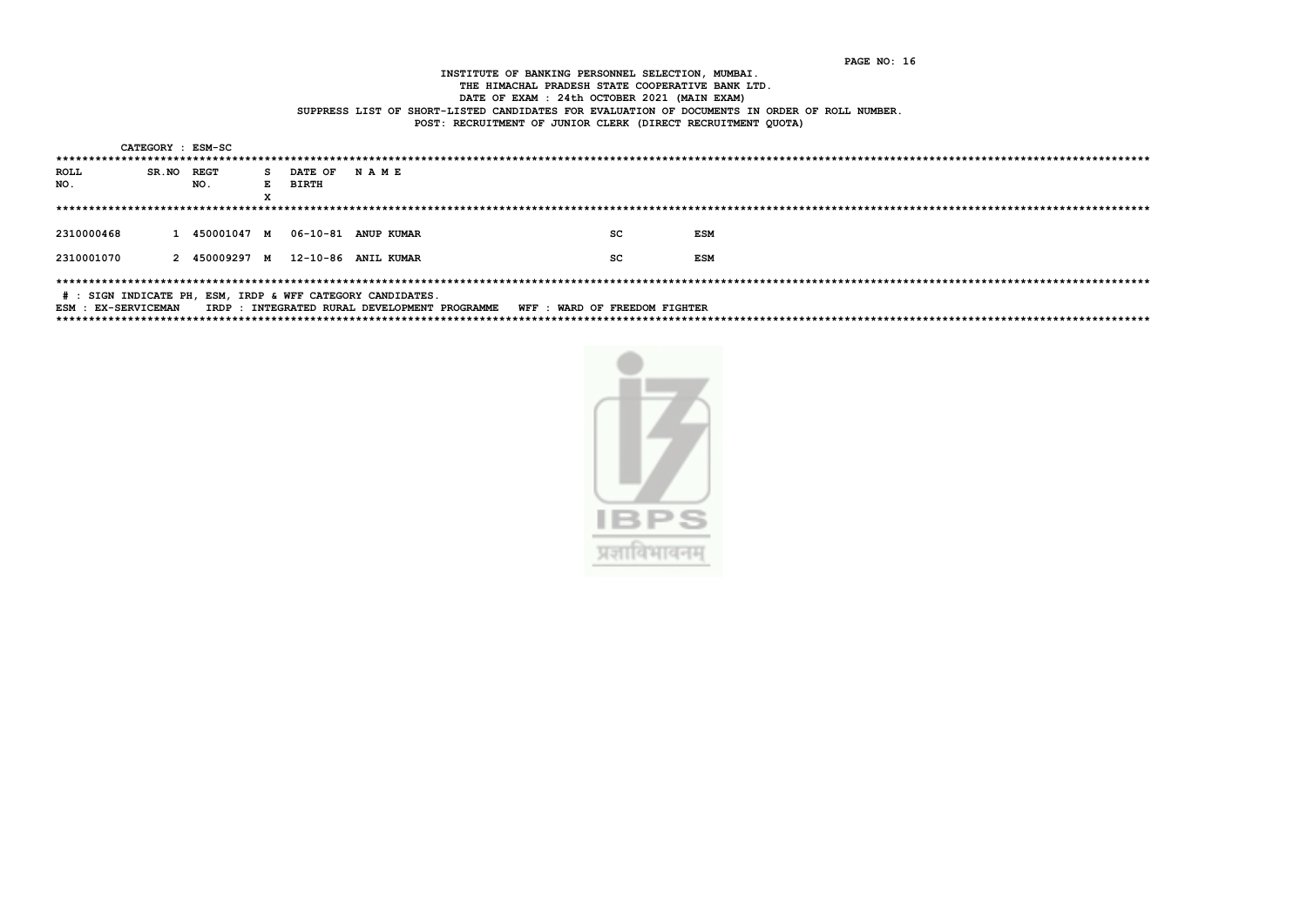INSTITUTE OF BANKING PERSONNEL SELECTION, MUMBAI. THE HIMACHAL PRADESH STATE COOPERATIVE BANK LTD. DATE OF EXAM : 24th OCTOBER 2021 (MAIN EXAM) SUPPRESS LIST OF SHORT-LISTED CANDIDATES FOR EVALUATION OF DOCUMENTS IN ORDER OF ROLL NUMBER. POST: RECRUITMENT OF JUNIOR CLERK (DIRECT RECRUITMENT OUOTA)

CATEGORY : ESM-SC **ROLL** SR.NO REGT S DATE OF NAME NO. NO. E BIRTH  $\mathbf{x}$ 2310000468 1 450001047 M 06-10-81 ANUP KUMAR  $SC$ **ESM** 2310001070 2 450009297 M 12-10-86 ANIL KUMAR  $SC$ **ESM** # : SIGN INDICATE PH, ESM, IRDP & WFF CATEGORY CANDIDATES. ESM : EX-SERVICEMAN TRDP : INTEGRATED RURAL DEVELOPMENT PROGRAMME. WEE : WARD OF FREEDOM FIGHTER



### PAGE NO: 16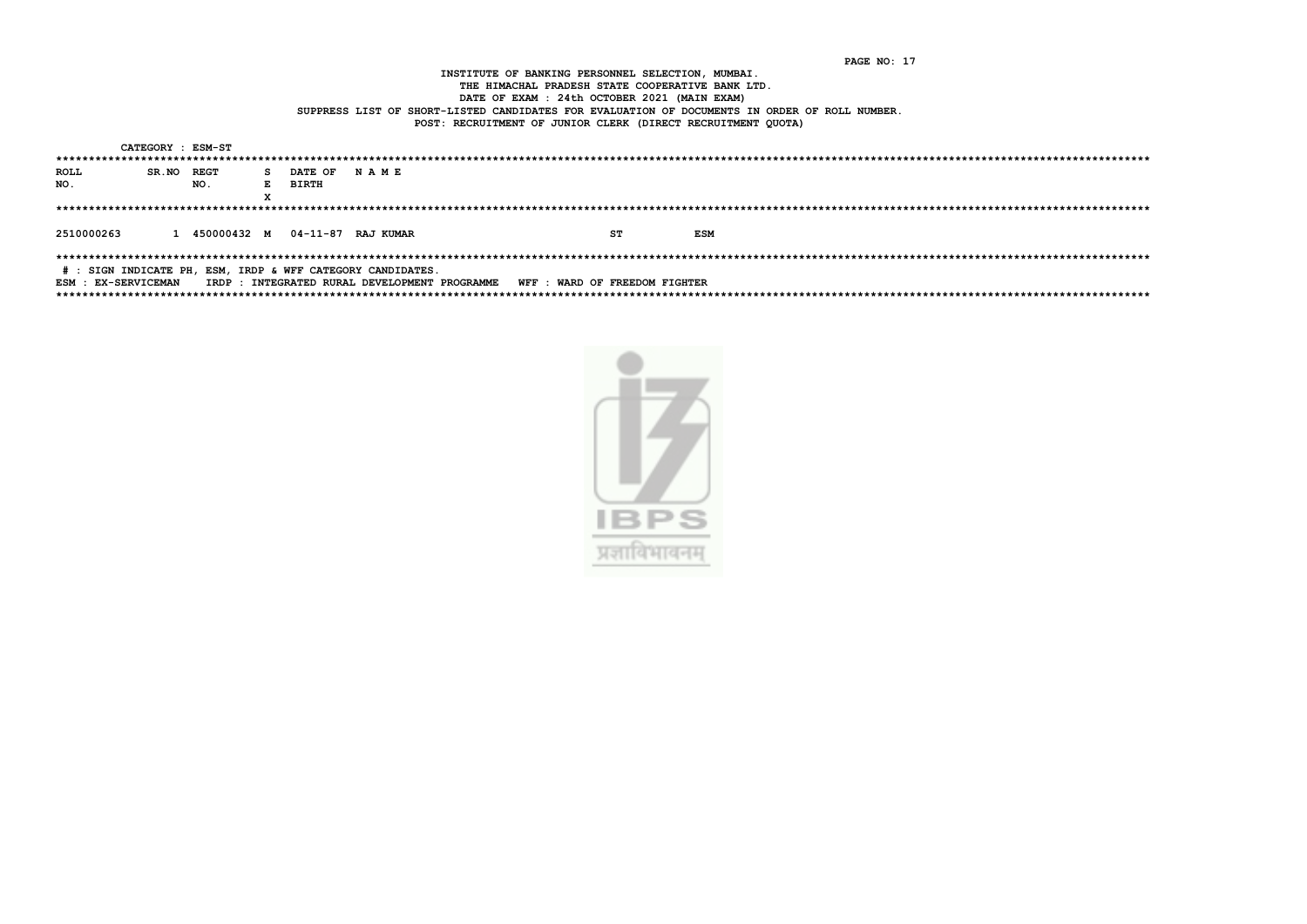INSTITUTE OF BANKING PERSONNEL SELECTION, MUMBAI. THE HIMACHAL PRADESH STATE COOPERATIVE BANK LTD. DATE OF EXAM : 24th OCTOBER 2021 (MAIN EXAM) SUPPRESS LIST OF SHORT-LISTED CANDIDATES FOR EVALUATION OF DOCUMENTS IN ORDER OF ROLL NUMBER. POST: RECRUITMENT OF JUNIOR CLERK (DIRECT RECRUITMENT OUOTA)

CATEGORY : ESM-ST **ROLL** SR.NO REGT S DATE OF NAME NO. NO. E BIRTH  $\mathbf{x}$ 2510000263 1 450000432 M 04-11-87 RAJ KUMAR **ST ESM** # : SIGN INDICATE PH, ESM, IRDP & WFF CATEGORY CANDIDATES. ESM : EX-SERVICEMAN IRDP : INTEGRATED RURAL DEVELOPMENT PROGRAMME WFF : WARD OF FREEDOM FIGHTER

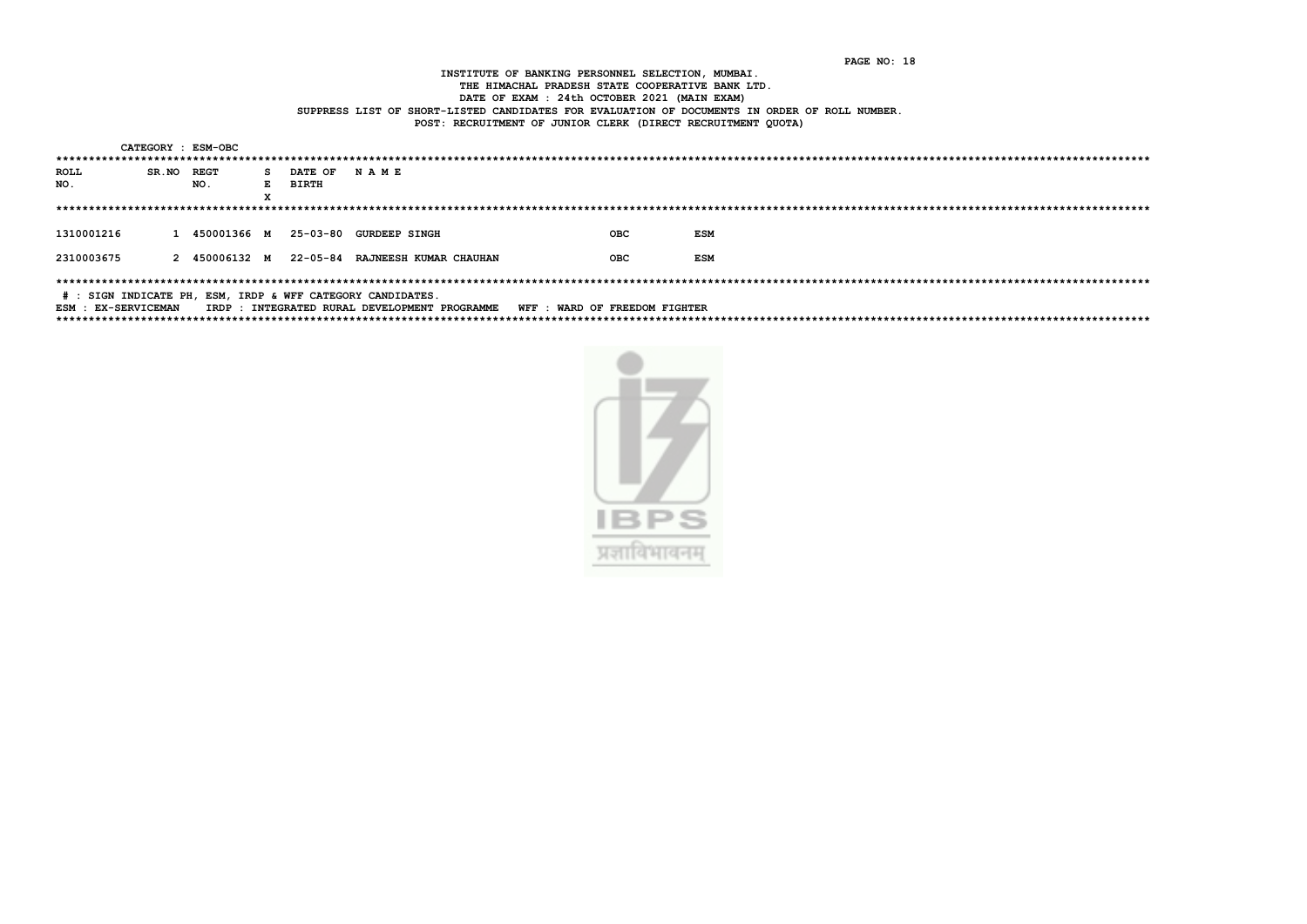INSTITUTE OF BANKING PERSONNEL SELECTION, MUMBAI. THE HIMACHAL PRADESH STATE COOPERATIVE BANK LTD. DATE OF EXAM : 24th OCTOBER 2021 (MAIN EXAM) SUPPRESS LIST OF SHORT-LISTED CANDIDATES FOR EVALUATION OF DOCUMENTS IN ORDER OF ROLL NUMBER. POST: RECRUITMENT OF JUNIOR CLERK (DIRECT RECRUITMENT OUOTA)

CATEGORY : ESM-OBC **ROLL** SR.NO REGT S DATE OF NAME NO. NO. E BIRTH  $\mathbf{x}$ 1310001216 1 450001366 M 25-03-80 GURDEEP SINGH **OBC ESM** 2310003675 2 450006132 M 22-05-84 RAJNEESH KUMAR CHAUHAN OBC **ESM** # : SIGN INDICATE PH, ESM, IRDP & WFF CATEGORY CANDIDATES. ESM : EX-SERVICEMAN TRDP : INTEGRATED RIIRAL DEVELOPMENT PROGRAMME. WEE : WARD OF FREEDOM FIGHTER

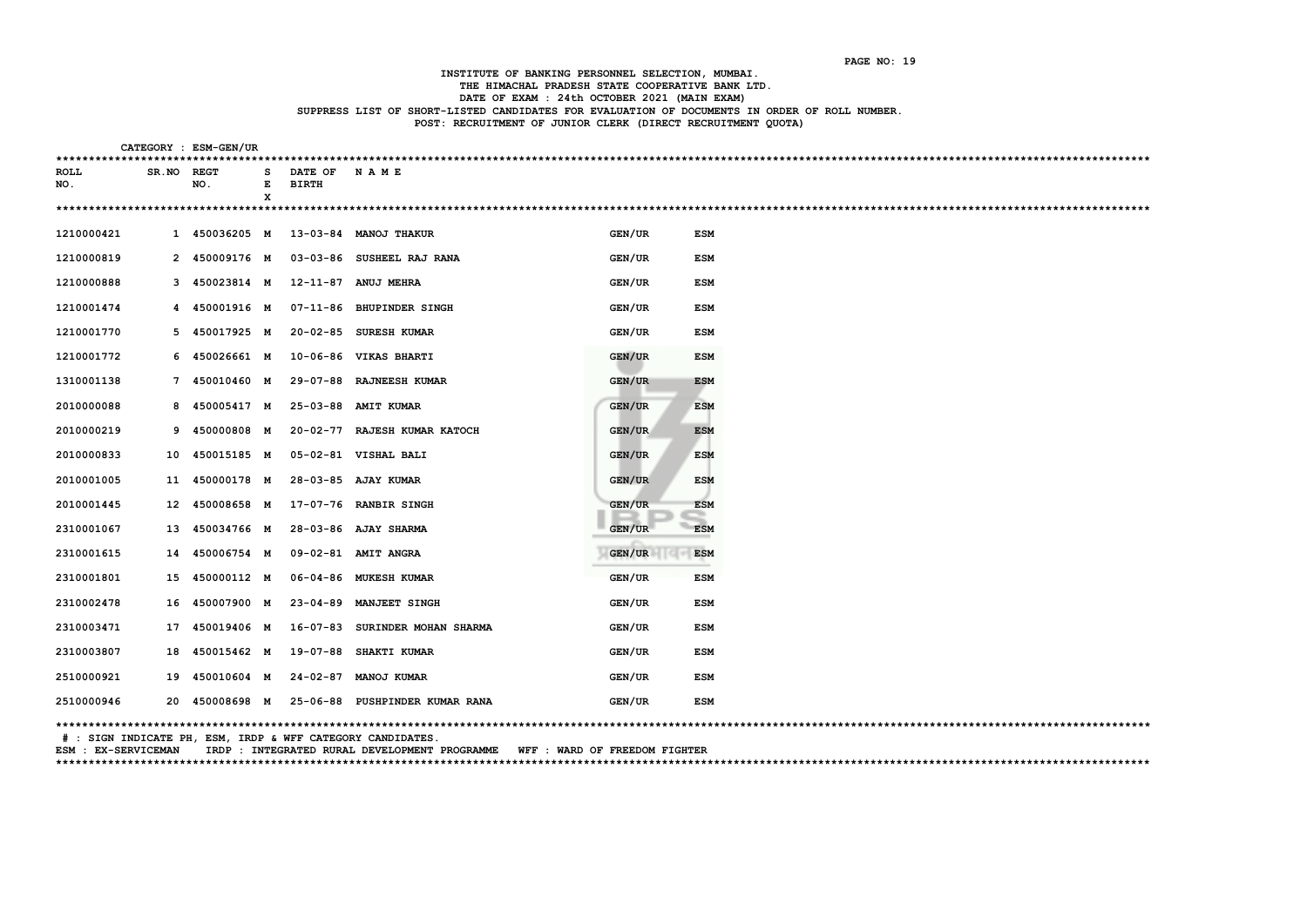# INSTITUTE OF BANKING PERSONNEL SELECTION, MUMBAI. THE HIMACHAL PRADESH STATE COOPERATIVE BANK LTD. DATE OF EXAM : 24th OCTOBER 2021 (MAIN EXAM) SUPPRESS LIST OF SHORT-LISTED CANDIDATES FOR EVALUATION OF DOCUMENTS IN ORDER OF ROLL NUMBER. POST: RECRUITMENT OF JUNIOR CLERK (DIRECT RECRUITMENT QUOTA)

| ************                                                        |              |    | CATEGORY : ESM-GEN/UR |   |                |                           |               |            |  |
|---------------------------------------------------------------------|--------------|----|-----------------------|---|----------------|---------------------------|---------------|------------|--|
| ROLL                                                                | <b>SR.NO</b> |    | <b>REGT</b>           | s | DATE OF        | NAME                      |               |            |  |
| NO.                                                                 |              |    | NO.                   | E | <b>BIRTH</b>   |                           |               |            |  |
|                                                                     |              |    |                       | x |                |                           |               |            |  |
|                                                                     |              |    |                       |   |                |                           |               |            |  |
| 1210000421                                                          |              |    | 1 450036205 M         |   |                | 13-03-84 MANOJ THAKUR     | GEN/UR        | <b>ESM</b> |  |
| 1210000819                                                          |              |    | 2 450009176 M         |   |                | 03-03-86 SUSHEEL RAJ RANA | GEN/UR        | ESM        |  |
| 1210000888                                                          |              |    | 3 450023814 M         |   | 12-11-87       | <b>ANUJ MEHRA</b>         | GEN/UR        | ESM        |  |
| 1210001474                                                          |              |    | 4 450001916 M         |   | 07-11-86       | <b>BHUPINDER SINGH</b>    | GEN/UR        | ESM        |  |
| 1210001770                                                          |              |    | 5 450017925 M         |   | $20 - 02 - 85$ | <b>SURESH KUMAR</b>       | GEN/UR        | ESM        |  |
| 1210001772                                                          |              |    | 6 450026661 M         |   |                | 10-06-86 VIKAS BHARTI     | GEN/UR        | ESM        |  |
| 1310001138                                                          |              |    | 7 450010460 M         |   | 29-07-88       | <b>RAJNEESH KUMAR</b>     | GEN/UR        | <b>ESM</b> |  |
| 2010000088                                                          |              |    | 8 450005417 M         |   |                | 25-03-88 AMIT KUMAR       | <b>GEN/UR</b> | <b>ESM</b> |  |
| 2010000219                                                          |              |    | 9 450000808 M         |   | $20 - 02 - 77$ | RAJESH KUMAR KATOCH       | GEN/UR        | <b>ESM</b> |  |
| 2010000833                                                          |              |    | 10 450015185 M        |   |                | 05-02-81 VISHAL BALI      | <b>GEN/UR</b> | <b>ESM</b> |  |
| 2010001005                                                          |              |    | 11 450000178 M        |   |                | 28-03-85 AJAY KUMAR       | GEN/UR        | <b>ESM</b> |  |
| 2010001445                                                          |              |    | 12 450008658 M        |   |                | 17-07-76 RANBIR SINGH     | GEN/UR        | <b>ESM</b> |  |
| 2310001067                                                          |              | 13 | 450034766 M           |   |                | 28-03-86 AJAY SHARMA      | GEN/UR        | <b>ESM</b> |  |
| 2310001615                                                          |              | 14 | 450006754 M           |   |                | 09-02-81 AMIT ANGRA       | GEN/UR        | <b>ESM</b> |  |
| 2310001801                                                          |              | 15 | 450000112 M           |   |                | 06-04-86 MUKESH KUMAR     | GEN/UR        | <b>ESM</b> |  |
| 2310002478                                                          |              |    | 16 450007900 M        |   | 23-04-89       | <b>MANJEET SINGH</b>      | GEN/UR        | <b>ESM</b> |  |
| 2310003471                                                          |              |    | 17 450019406 M        |   | 16-07-83       | SURINDER MOHAN SHARMA     | GEN/UR        | <b>ESM</b> |  |
| 2310003807                                                          |              | 18 | 450015462 M           |   | 19-07-88       | <b>SHAKTI KUMAR</b>       | GEN/UR        | <b>ESM</b> |  |
| 2510000921                                                          |              |    | 19 450010604 M        |   |                | 24-02-87 MANOJ KUMAR      | <b>GEN/UR</b> | ESM        |  |
| 2510000946                                                          |              |    | 20 450008698 M        |   | 25-06-88       | PUSHPINDER KUMAR RANA     | GEN/UR        | <b>ESM</b> |  |
| $CTCM$ THETCARE BUT<br>MEE CAMECODY CANDIDAMES<br><b>POM</b> TODD C |              |    |                       |   |                |                           |               |            |  |

# : SIGN INDICATE PH, ESM, IRDP & WFF CATEGORY CANDIDATES.

ESM : EX-SERVICEMAN IRDP : INTEGRATED RURAL DEVELOPMENT PROGRAMME WFF : WARD OF FREEDOM FIGHTER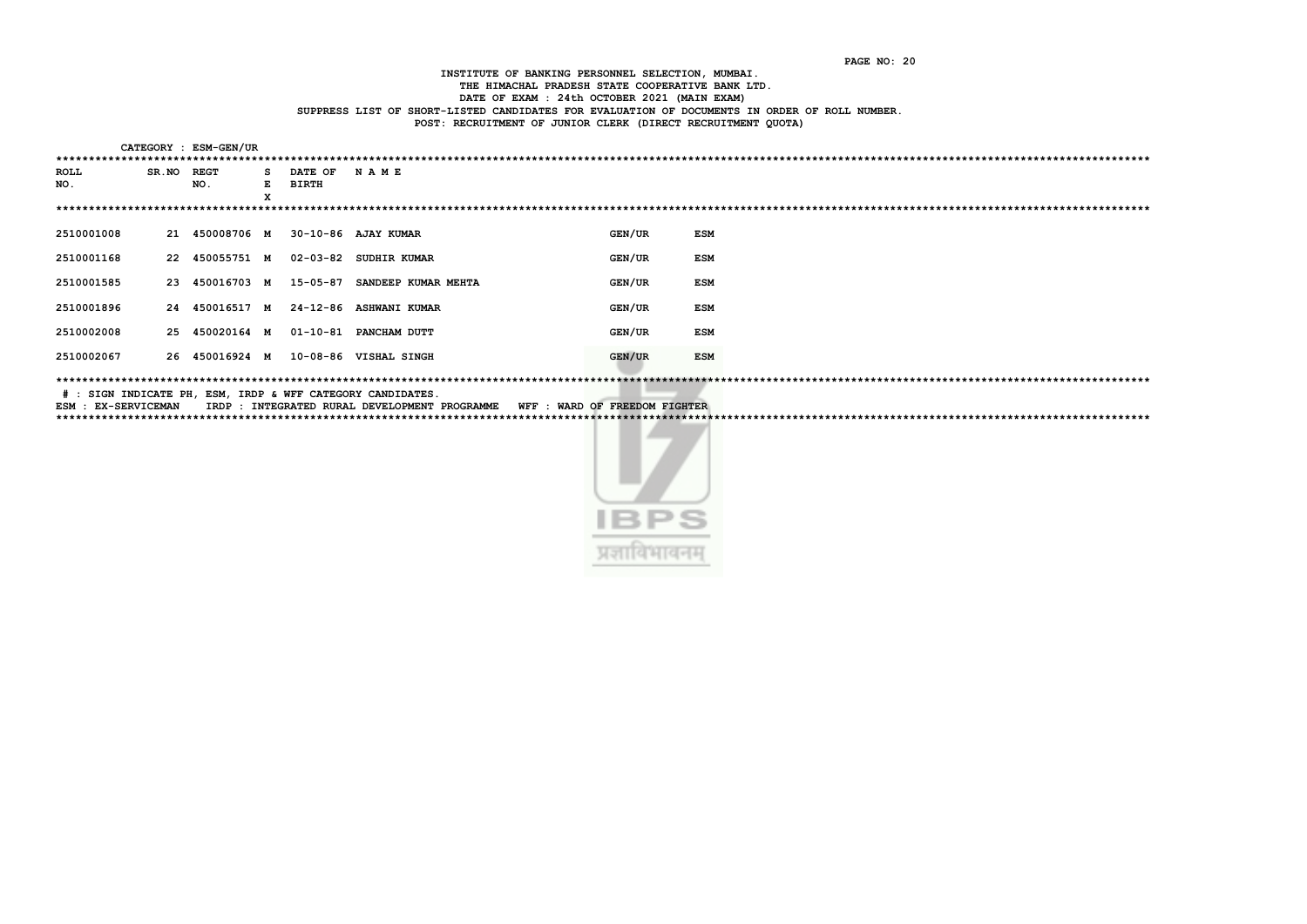# INSTITUTE OF BANKING PERSONNEL SELECTION, MUMBAI. THE HIMACHAL PRADESH STATE COOPERATIVE BANK LTD. DATE OF EXAM : 24th OCTOBER 2021 (MAIN EXAM) SUPPRESS LIST OF SHORT-LISTED CANDIDATES FOR EVALUATION OF DOCUMENTS IN ORDER OF ROLL NUMBER. POST: RECRUITMENT OF JUNIOR CLERK (DIRECT RECRUITMENT QUOTA)

| CATEGORY : ESM-GEN/UR |            |                |              |                                |                        |               |            |  |  |  |  |
|-----------------------|------------|----------------|--------------|--------------------------------|------------------------|---------------|------------|--|--|--|--|
| <b>ROLL</b><br>NO.    | SR.NO REGT | NO.            | S.<br>Е<br>X | <b>DATE OF</b><br><b>BIRTH</b> | NAME                   |               |            |  |  |  |  |
|                       |            |                |              |                                |                        |               |            |  |  |  |  |
| 2510001008            |            | 21 450008706 M |              |                                | 30-10-86 AJAY KUMAR    | <b>GEN/UR</b> | ESM        |  |  |  |  |
| 2510001168            |            | 22 450055751 M |              | 02-03-82                       | <b>SUDHIR KUMAR</b>    | <b>GEN/UR</b> | ESM        |  |  |  |  |
| 2510001585            |            | 23 450016703 M |              | 15-05-87                       | SANDEEP KUMAR MEHTA    | <b>GEN/UR</b> | <b>ESM</b> |  |  |  |  |
| 2510001896            |            | 24 450016517 M |              |                                | 24-12-86 ASHWANI KUMAR | <b>GEN/UR</b> | <b>ESM</b> |  |  |  |  |
| 2510002008            |            | 25 450020164 M |              | 01-10-81                       | <b>PANCHAM DUTT</b>    | <b>GEN/UR</b> | <b>ESM</b> |  |  |  |  |
| 2510002067            |            | 26 450016924 M |              | 10-08-86                       | <b>VISHAL SINGH</b>    | <b>GEN/UR</b> | ESM        |  |  |  |  |

# : SIGN INDICATE PH, ESM, IRDP & WFF CATEGORY CANDIDATES.

ESM : EX-SERVICEMAN IRDP : INTEGRATED RURAL DEVELOPMENT PROGRAMME WFF : WARD OF FREEDOM FIGHTER

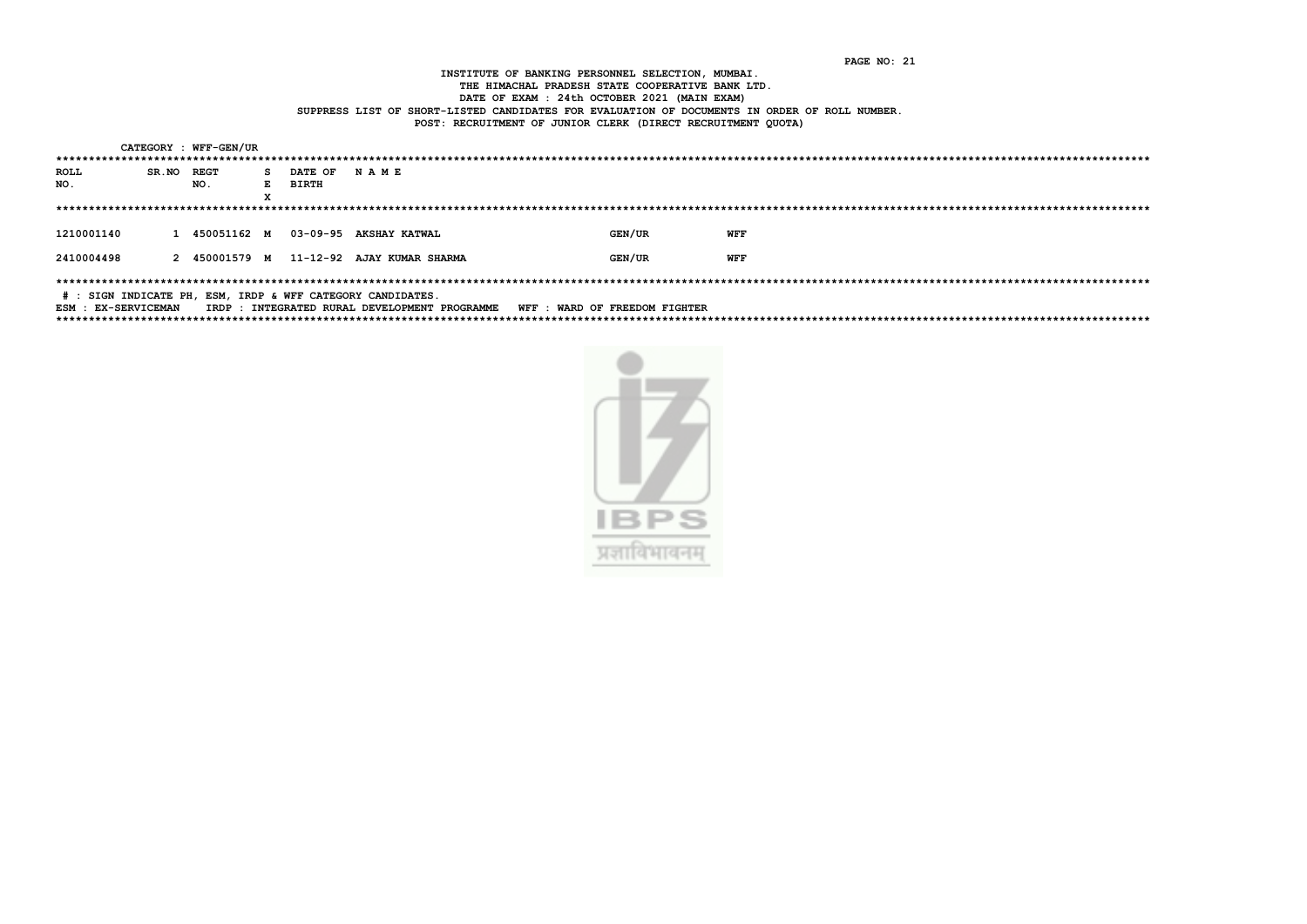INSTITUTE OF BANKING PERSONNEL SELECTION, MUMBAI. THE HIMACHAL PRADESH STATE COOPERATIVE BANK LTD. DATE OF EXAM : 24th OCTOBER 2021 (MAIN EXAM) SUPPRESS LIST OF SHORT-LISTED CANDIDATES FOR EVALUATION OF DOCUMENTS IN ORDER OF ROLL NUMBER. POST: RECRUITMENT OF JUNIOR CLERK (DIRECT RECRUITMENT OUOTA)

CATEGORY : WFF-GEN/UR **ROLL** SR.NO REGT S DATE OF NAME NO. NO. E BIRTH  $\mathbf{x}$ 1210001140 1 450051162 M 03-09-95 AKSHAY KATWAL GEN/UR WFF 2410004498 2 450001579 M 11-12-92 AJAY KUMAR SHARMA GEN/UR **WFF** # : SIGN INDICATE PH, ESM, IRDP & WFF CATEGORY CANDIDATES. ESM : EX-SERVICEMAN TRDP : INTEGRATED RURAL DEVELOPMENT PROGRAMME. WEE : WARD OF FREEDOM FIGHTER

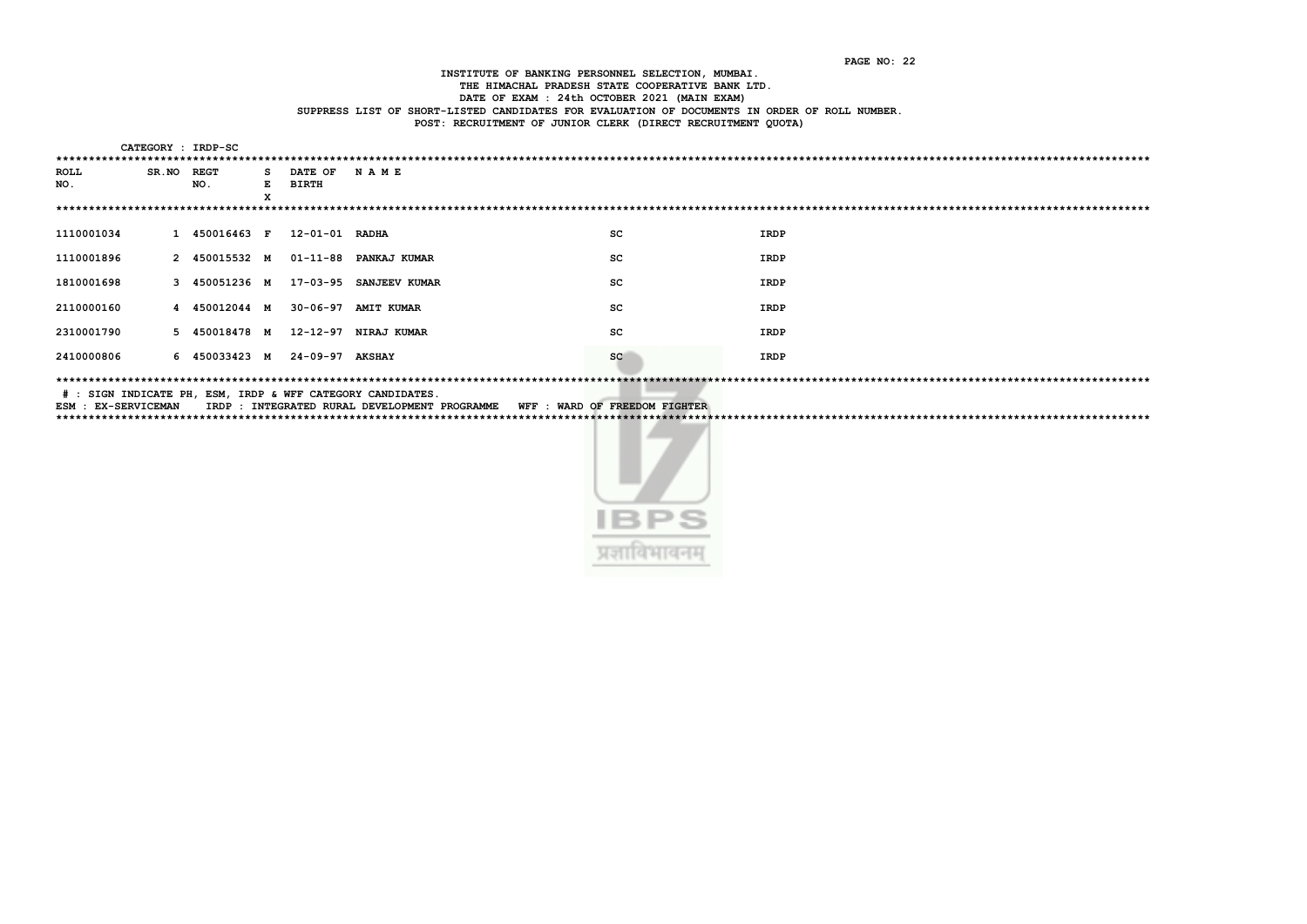# INSTITUTE OF BANKING PERSONNEL SELECTION, MUMBAI. THE HIMACHAL PRADESH STATE COOPERATIVE BANK LTD. DATE OF EXAM : 24th OCTOBER 2021 (MAIN EXAM) SUPPRESS LIST OF SHORT-LISTED CANDIDATES FOR EVALUATION OF DOCUMENTS IN ORDER OF ROLL NUMBER. POST: RECRUITMENT OF JUNIOR CLERK (DIRECT RECRUITMENT QUOTA)

| CATEGORY : IRDP-SC |   |                   |             |                              |                        |           |      |  |  |  |
|--------------------|---|-------------------|-------------|------------------------------|------------------------|-----------|------|--|--|--|
| <b>ROLL</b><br>NO. |   | SR.NO REGT<br>NO. | s<br>Е<br>X | DATE OF NAME<br><b>BIRTH</b> |                        |           |      |  |  |  |
|                    |   |                   |             |                              |                        |           |      |  |  |  |
| 1110001034         |   | 450016463 F       |             | 12-01-01                     | <b>RADHA</b>           | SC        | IRDP |  |  |  |
| 1110001896         |   | 2 450015532 M     |             | 01-11-88                     | PANKAJ KUMAR           | SC        | IRDP |  |  |  |
| 1810001698         |   | 3 450051236 M     |             |                              | 17-03-95 SANJEEV KUMAR | SC        | IRDP |  |  |  |
| 2110000160         | 4 | 450012044 M       |             |                              | 30-06-97 AMIT KUMAR    | <b>SC</b> | IRDP |  |  |  |
| 2310001790         |   | 5 450018478 M     |             | 12-12-97                     | NIRAJ KUMAR            | sc        | IRDP |  |  |  |
| 2410000806         |   | 6 450033423 M     |             | 24-09-97                     | <b>AKSHAY</b>          | <b>SC</b> | IRDP |  |  |  |

# : SIGN INDICATE PH, ESM, IRDP & WFF CATEGORY CANDIDATES.

ESM : EX-SERVICEMAN IRDP : INTEGRATED RURAL DEVELOPMENT PROGRAMME WFF : WARD OF FREEDOM FIGHTER

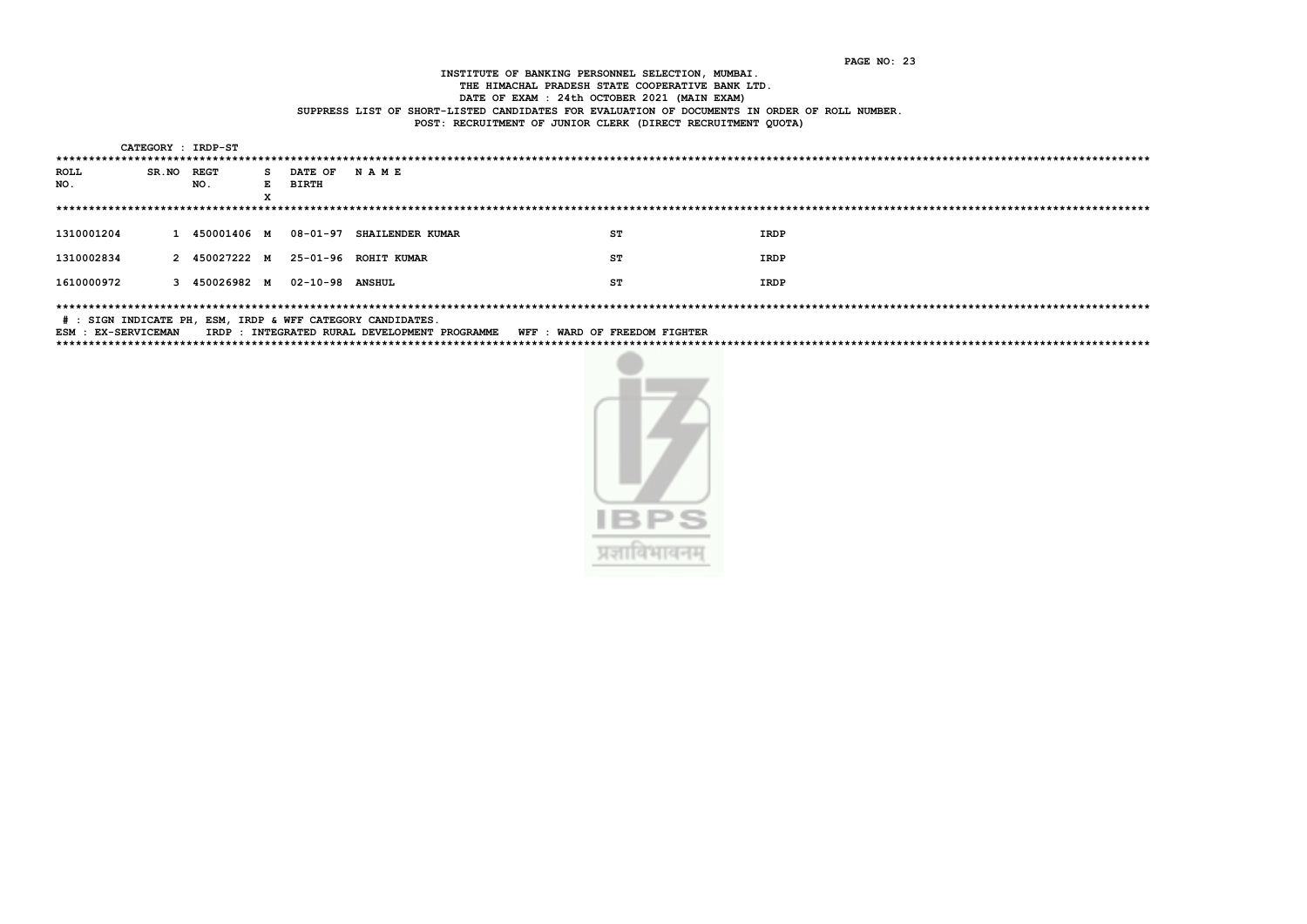# INSTITUTE OF BANKING PERSONNEL SELECTION, MUMBAI. THE HIMACHAL PRADESH STATE COOPERATIVE BANK LTD. DATE OF EXAM : 24th OCTOBER 2021 (MAIN EXAM) SUPPRESS LIST OF SHORT-LISTED CANDIDATES FOR EVALUATION OF DOCUMENTS IN ORDER OF ROLL NUMBER. POST: RECRUITMENT OF JUNIOR CLERK (DIRECT RECRUITMENT QUOTA)

|             |       | CATEGORY : IRDP-ST |              |                         |                           |    |      |
|-------------|-------|--------------------|--------------|-------------------------|---------------------------|----|------|
| ROLL<br>NO. | SR.NO | <b>REGT</b><br>NO. | s.<br>E<br>x | DATE OF<br><b>BIRTH</b> | <b>NAME</b>               |    |      |
|             |       |                    |              |                         |                           |    |      |
| 1310001204  |       | 1 450001406 M      |              |                         | 08-01-97 SHAILENDER KUMAR | ST | IRDP |
| 1310002834  |       | 2 450027222 M      |              |                         | 25-01-96 ROHIT KUMAR      | ST | IRDP |
| 1610000972  |       | 3 450026982 M      |              | <b>02-10-98 ANSHUL</b>  |                           | SТ | IRDP |

# : SIGN INDICATE PH, ESM, IRDP & WFF CATEGORY CANDIDATES.

ESM : EX-SERVICEMAN IRDP : INTEGRATED RURAL DEVELOPMENT PROGRAMME WFF : WARD OF FREEDOM FIGHTER